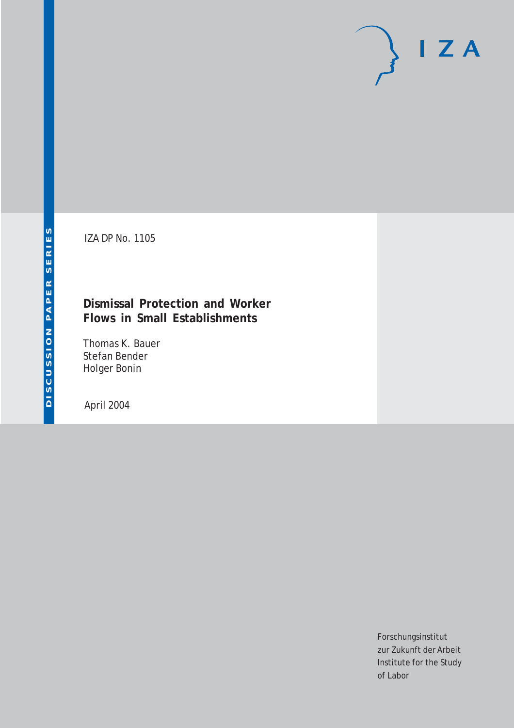# $I Z A$

IZA DP No. 1105

# **Dismissal Protection and Worker Flows in Small Establishments**

Thomas K. Bauer Stefan Bender Holger Bonin

April 2004

Forschungsinstitut zur Zukunft der Arbeit Institute for the Study of Labor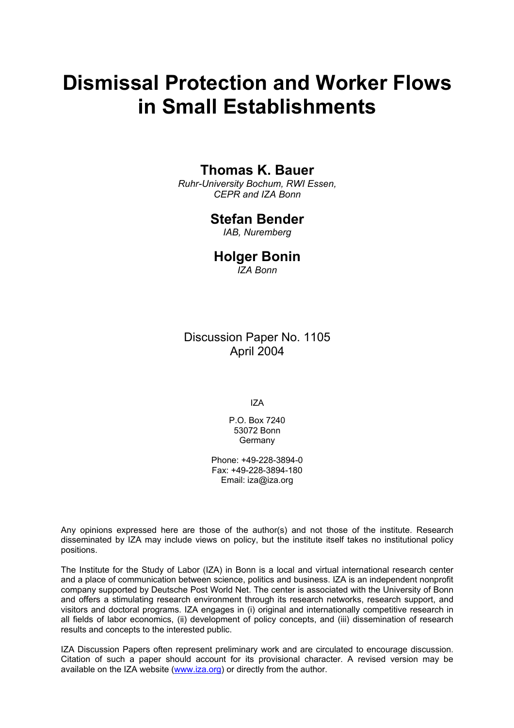# **Dismissal Protection and Worker Flows in Small Establishments**

# **Thomas K. Bauer**

*Ruhr-University Bochum, RWI Essen, CEPR and IZA Bonn* 

#### **Stefan Bender**

*IAB, Nuremberg* 

#### **Holger Bonin**

*IZA Bonn*

Discussion Paper No. 1105 April 2004

IZA

P.O. Box 7240 53072 Bonn Germany

Phone: +49-228-3894-0 Fax: +49-228-3894-180 Email: [iza@iza.org](mailto:iza@iza.org)

Any opinions expressed here are those of the author(s) and not those of the institute. Research disseminated by IZA may include views on policy, but the institute itself takes no institutional policy positions.

The Institute for the Study of Labor (IZA) in Bonn is a local and virtual international research center and a place of communication between science, politics and business. IZA is an independent nonprofit company supported by Deutsche Post World Net. The center is associated with the University of Bonn and offers a stimulating research environment through its research networks, research support, and visitors and doctoral programs. IZA engages in (i) original and internationally competitive research in all fields of labor economics, (ii) development of policy concepts, and (iii) dissemination of research results and concepts to the interested public.

IZA Discussion Papers often represent preliminary work and are circulated to encourage discussion. Citation of such a paper should account for its provisional character. A revised version may be available on the IZA website ([www.iza.org](http://www.iza.org/)) or directly from the author.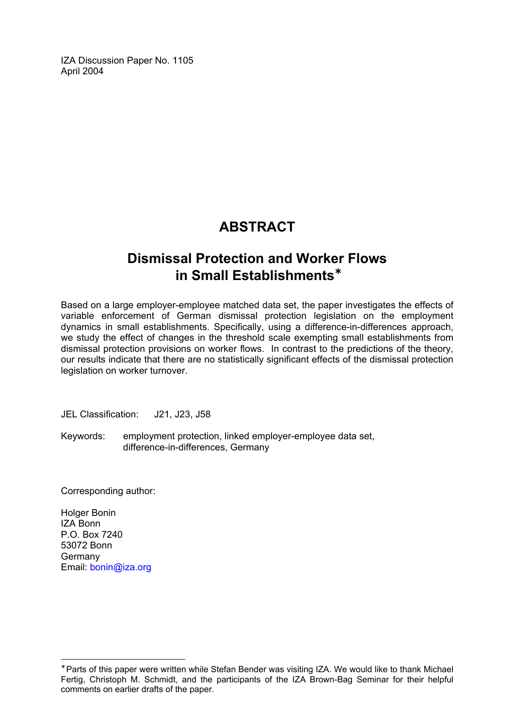IZA Discussion Paper No. 1105 April 2004

# **ABSTRACT**

# **Dismissal Protection and Worker Flows in Small Establishments**[∗](#page-2-0)

Based on a large employer-employee matched data set, the paper investigates the effects of variable enforcement of German dismissal protection legislation on the employment dynamics in small establishments. Specifically, using a difference-in-differences approach, we study the effect of changes in the threshold scale exempting small establishments from dismissal protection provisions on worker flows. In contrast to the predictions of the theory, our results indicate that there are no statistically significant effects of the dismissal protection legislation on worker turnover.

JEL Classification: J21, J23, J58

Keywords: employment protection, linked employer-employee data set, difference-in-differences, Germany

Corresponding author:

Holger Bonin IZA Bonn P.O. Box 7240 53072 Bonn Germany Email: [bonin@iza.org](mailto:bonin@iza.org)

 $\overline{a}$ 

<span id="page-2-0"></span><sup>∗</sup> Parts of this paper were written while Stefan Bender was visiting IZA. We would like to thank Michael Fertig, Christoph M. Schmidt, and the participants of the IZA Brown-Bag Seminar for their helpful comments on earlier drafts of the paper.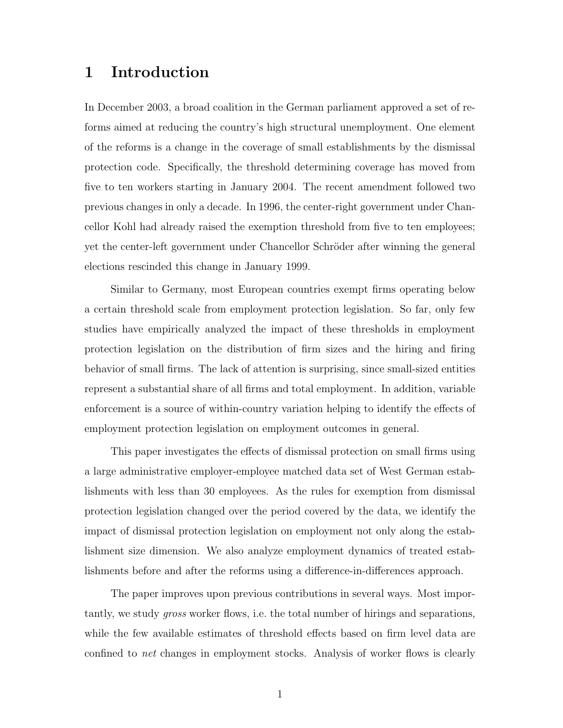# 1 Introduction

In December 2003, a broad coalition in the German parliament approved a set of reforms aimed at reducing the country's high structural unemployment. One element of the reforms is a change in the coverage of small establishments by the dismissal protection code. Specifically, the threshold determining coverage has moved from five to ten workers starting in January 2004. The recent amendment followed two previous changes in only a decade. In 1996, the center-right government under Chancellor Kohl had already raised the exemption threshold from five to ten employees; yet the center-left government under Chancellor Schröder after winning the general elections rescinded this change in January 1999.

Similar to Germany, most European countries exempt firms operating below a certain threshold scale from employment protection legislation. So far, only few studies have empirically analyzed the impact of these thresholds in employment protection legislation on the distribution of firm sizes and the hiring and firing behavior of small firms. The lack of attention is surprising, since small-sized entities represent a substantial share of all firms and total employment. In addition, variable enforcement is a source of within-country variation helping to identify the effects of employment protection legislation on employment outcomes in general.

This paper investigates the effects of dismissal protection on small firms using a large administrative employer-employee matched data set of West German establishments with less than 30 employees. As the rules for exemption from dismissal protection legislation changed over the period covered by the data, we identify the impact of dismissal protection legislation on employment not only along the establishment size dimension. We also analyze employment dynamics of treated establishments before and after the reforms using a difference-in-differences approach.

The paper improves upon previous contributions in several ways. Most importantly, we study gross worker flows, i.e. the total number of hirings and separations, while the few available estimates of threshold effects based on firm level data are confined to *net* changes in employment stocks. Analysis of worker flows is clearly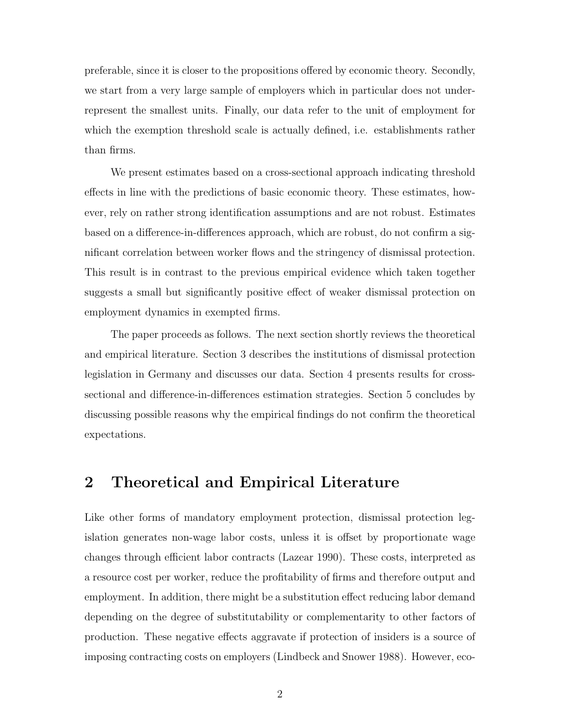preferable, since it is closer to the propositions offered by economic theory. Secondly, we start from a very large sample of employers which in particular does not underrepresent the smallest units. Finally, our data refer to the unit of employment for which the exemption threshold scale is actually defined, i.e. establishments rather than firms.

We present estimates based on a cross-sectional approach indicating threshold effects in line with the predictions of basic economic theory. These estimates, however, rely on rather strong identification assumptions and are not robust. Estimates based on a difference-in-differences approach, which are robust, do not confirm a significant correlation between worker flows and the stringency of dismissal protection. This result is in contrast to the previous empirical evidence which taken together suggests a small but significantly positive effect of weaker dismissal protection on employment dynamics in exempted firms.

The paper proceeds as follows. The next section shortly reviews the theoretical and empirical literature. Section 3 describes the institutions of dismissal protection legislation in Germany and discusses our data. Section 4 presents results for crosssectional and difference-in-differences estimation strategies. Section 5 concludes by discussing possible reasons why the empirical findings do not confirm the theoretical expectations.

#### 2 Theoretical and Empirical Literature

Like other forms of mandatory employment protection, dismissal protection legislation generates non-wage labor costs, unless it is offset by proportionate wage changes through efficient labor contracts (Lazear 1990). These costs, interpreted as a resource cost per worker, reduce the profitability of firms and therefore output and employment. In addition, there might be a substitution effect reducing labor demand depending on the degree of substitutability or complementarity to other factors of production. These negative effects aggravate if protection of insiders is a source of imposing contracting costs on employers (Lindbeck and Snower 1988). However, eco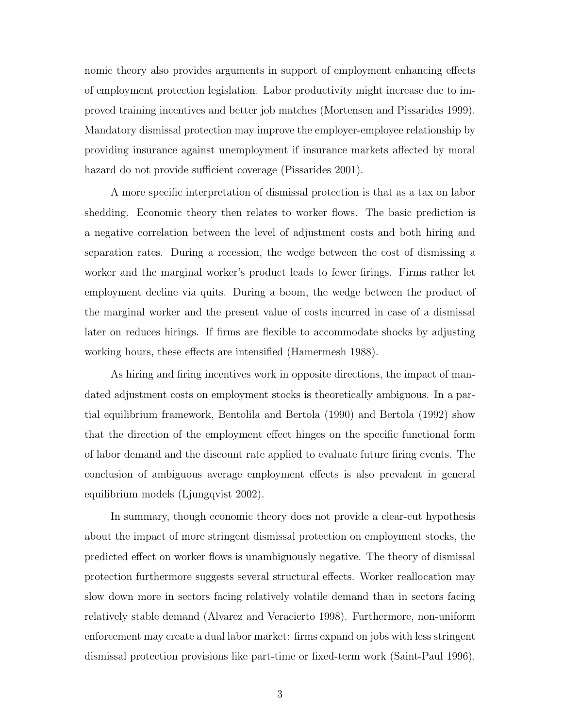nomic theory also provides arguments in support of employment enhancing effects of employment protection legislation. Labor productivity might increase due to improved training incentives and better job matches (Mortensen and Pissarides 1999). Mandatory dismissal protection may improve the employer-employee relationship by providing insurance against unemployment if insurance markets affected by moral hazard do not provide sufficient coverage (Pissarides 2001).

A more specific interpretation of dismissal protection is that as a tax on labor shedding. Economic theory then relates to worker flows. The basic prediction is a negative correlation between the level of adjustment costs and both hiring and separation rates. During a recession, the wedge between the cost of dismissing a worker and the marginal worker's product leads to fewer firings. Firms rather let employment decline via quits. During a boom, the wedge between the product of the marginal worker and the present value of costs incurred in case of a dismissal later on reduces hirings. If firms are flexible to accommodate shocks by adjusting working hours, these effects are intensified (Hamermesh 1988).

As hiring and firing incentives work in opposite directions, the impact of mandated adjustment costs on employment stocks is theoretically ambiguous. In a partial equilibrium framework, Bentolila and Bertola (1990) and Bertola (1992) show that the direction of the employment effect hinges on the specific functional form of labor demand and the discount rate applied to evaluate future firing events. The conclusion of ambiguous average employment effects is also prevalent in general equilibrium models (Ljungqvist 2002).

In summary, though economic theory does not provide a clear-cut hypothesis about the impact of more stringent dismissal protection on employment stocks, the predicted effect on worker flows is unambiguously negative. The theory of dismissal protection furthermore suggests several structural effects. Worker reallocation may slow down more in sectors facing relatively volatile demand than in sectors facing relatively stable demand (Alvarez and Veracierto 1998). Furthermore, non-uniform enforcement may create a dual labor market: firms expand on jobs with less stringent dismissal protection provisions like part-time or fixed-term work (Saint-Paul 1996).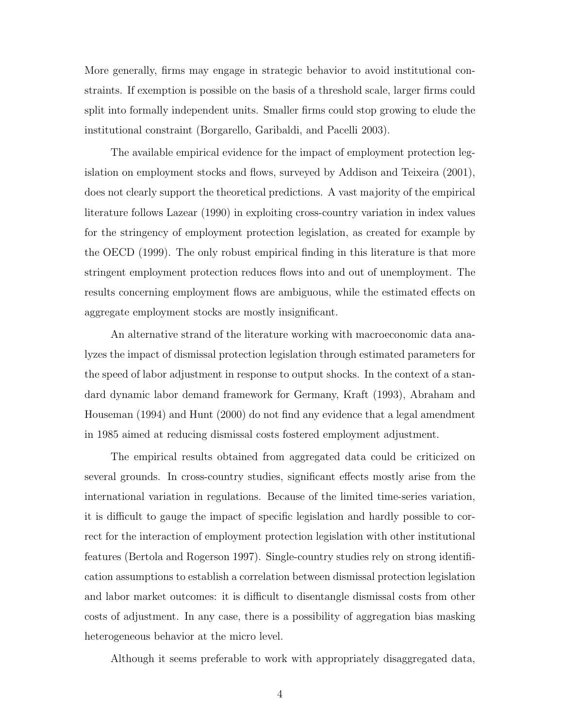More generally, firms may engage in strategic behavior to avoid institutional constraints. If exemption is possible on the basis of a threshold scale, larger firms could split into formally independent units. Smaller firms could stop growing to elude the institutional constraint (Borgarello, Garibaldi, and Pacelli 2003).

The available empirical evidence for the impact of employment protection legislation on employment stocks and flows, surveyed by Addison and Teixeira (2001), does not clearly support the theoretical predictions. A vast majority of the empirical literature follows Lazear (1990) in exploiting cross-country variation in index values for the stringency of employment protection legislation, as created for example by the OECD (1999). The only robust empirical finding in this literature is that more stringent employment protection reduces flows into and out of unemployment. The results concerning employment flows are ambiguous, while the estimated effects on aggregate employment stocks are mostly insignificant.

An alternative strand of the literature working with macroeconomic data analyzes the impact of dismissal protection legislation through estimated parameters for the speed of labor adjustment in response to output shocks. In the context of a standard dynamic labor demand framework for Germany, Kraft (1993), Abraham and Houseman (1994) and Hunt (2000) do not find any evidence that a legal amendment in 1985 aimed at reducing dismissal costs fostered employment adjustment.

The empirical results obtained from aggregated data could be criticized on several grounds. In cross-country studies, significant effects mostly arise from the international variation in regulations. Because of the limited time-series variation, it is difficult to gauge the impact of specific legislation and hardly possible to correct for the interaction of employment protection legislation with other institutional features (Bertola and Rogerson 1997). Single-country studies rely on strong identification assumptions to establish a correlation between dismissal protection legislation and labor market outcomes: it is difficult to disentangle dismissal costs from other costs of adjustment. In any case, there is a possibility of aggregation bias masking heterogeneous behavior at the micro level.

Although it seems preferable to work with appropriately disaggregated data,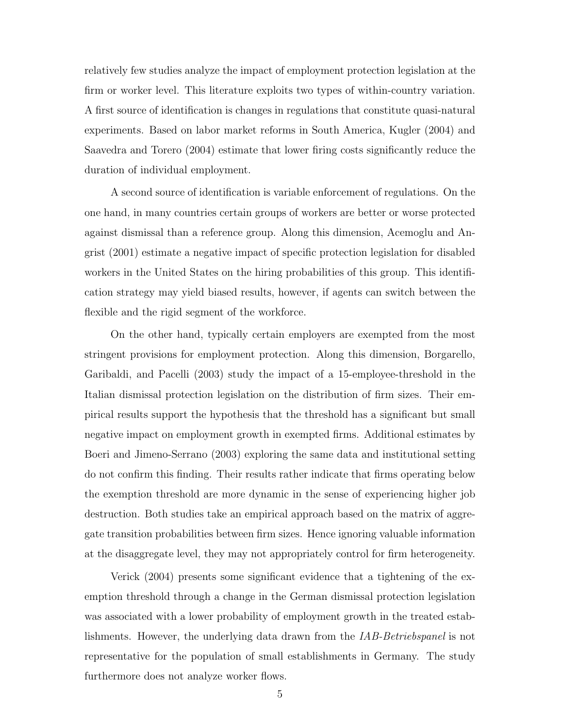relatively few studies analyze the impact of employment protection legislation at the firm or worker level. This literature exploits two types of within-country variation. A first source of identification is changes in regulations that constitute quasi-natural experiments. Based on labor market reforms in South America, Kugler (2004) and Saavedra and Torero (2004) estimate that lower firing costs significantly reduce the duration of individual employment.

A second source of identification is variable enforcement of regulations. On the one hand, in many countries certain groups of workers are better or worse protected against dismissal than a reference group. Along this dimension, Acemoglu and Angrist (2001) estimate a negative impact of specific protection legislation for disabled workers in the United States on the hiring probabilities of this group. This identification strategy may yield biased results, however, if agents can switch between the flexible and the rigid segment of the workforce.

On the other hand, typically certain employers are exempted from the most stringent provisions for employment protection. Along this dimension, Borgarello, Garibaldi, and Pacelli (2003) study the impact of a 15-employee-threshold in the Italian dismissal protection legislation on the distribution of firm sizes. Their empirical results support the hypothesis that the threshold has a significant but small negative impact on employment growth in exempted firms. Additional estimates by Boeri and Jimeno-Serrano (2003) exploring the same data and institutional setting do not confirm this finding. Their results rather indicate that firms operating below the exemption threshold are more dynamic in the sense of experiencing higher job destruction. Both studies take an empirical approach based on the matrix of aggregate transition probabilities between firm sizes. Hence ignoring valuable information at the disaggregate level, they may not appropriately control for firm heterogeneity.

Verick (2004) presents some significant evidence that a tightening of the exemption threshold through a change in the German dismissal protection legislation was associated with a lower probability of employment growth in the treated establishments. However, the underlying data drawn from the IAB-Betriebspanel is not representative for the population of small establishments in Germany. The study furthermore does not analyze worker flows.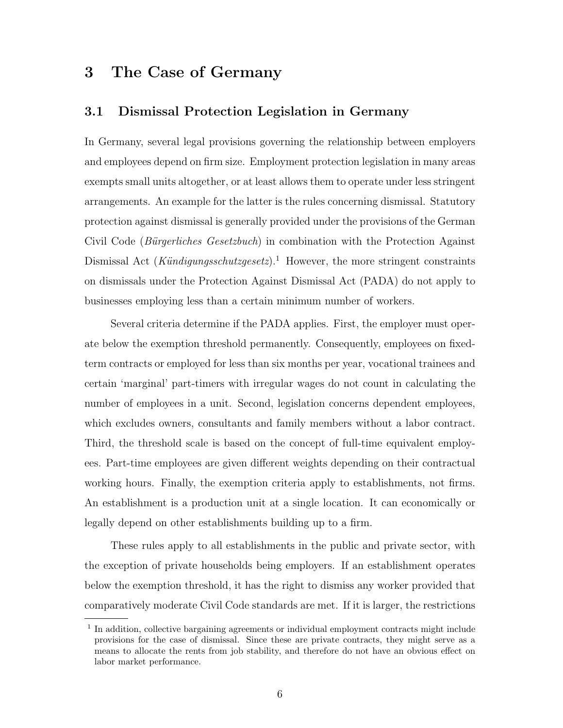# 3 The Case of Germany

#### 3.1 Dismissal Protection Legislation in Germany

In Germany, several legal provisions governing the relationship between employers and employees depend on firm size. Employment protection legislation in many areas exempts small units altogether, or at least allows them to operate under less stringent arrangements. An example for the latter is the rules concerning dismissal. Statutory protection against dismissal is generally provided under the provisions of the German Civil Code (Bürgerliches Gesetzbuch) in combination with the Protection Against Dismissal Act (Kündigungsschutzgesetz).<sup>1</sup> However, the more stringent constraints on dismissals under the Protection Against Dismissal Act (PADA) do not apply to businesses employing less than a certain minimum number of workers.

Several criteria determine if the PADA applies. First, the employer must operate below the exemption threshold permanently. Consequently, employees on fixedterm contracts or employed for less than six months per year, vocational trainees and certain 'marginal' part-timers with irregular wages do not count in calculating the number of employees in a unit. Second, legislation concerns dependent employees, which excludes owners, consultants and family members without a labor contract. Third, the threshold scale is based on the concept of full-time equivalent employees. Part-time employees are given different weights depending on their contractual working hours. Finally, the exemption criteria apply to establishments, not firms. An establishment is a production unit at a single location. It can economically or legally depend on other establishments building up to a firm.

These rules apply to all establishments in the public and private sector, with the exception of private households being employers. If an establishment operates below the exemption threshold, it has the right to dismiss any worker provided that comparatively moderate Civil Code standards are met. If it is larger, the restrictions

<sup>&</sup>lt;sup>1</sup> In addition, collective bargaining agreements or individual employment contracts might include provisions for the case of dismissal. Since these are private contracts, they might serve as a means to allocate the rents from job stability, and therefore do not have an obvious effect on labor market performance.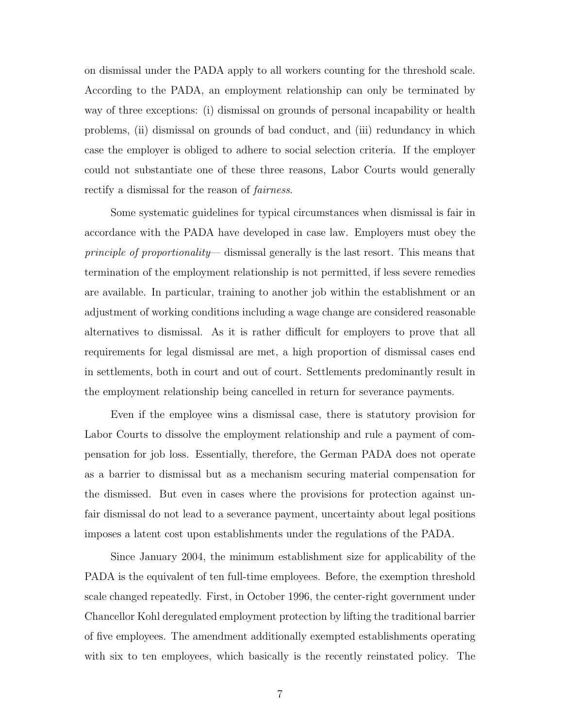on dismissal under the PADA apply to all workers counting for the threshold scale. According to the PADA, an employment relationship can only be terminated by way of three exceptions: (i) dismissal on grounds of personal incapability or health problems, (ii) dismissal on grounds of bad conduct, and (iii) redundancy in which case the employer is obliged to adhere to social selection criteria. If the employer could not substantiate one of these three reasons, Labor Courts would generally rectify a dismissal for the reason of fairness.

Some systematic guidelines for typical circumstances when dismissal is fair in accordance with the PADA have developed in case law. Employers must obey the principle of proportionality— dismissal generally is the last resort. This means that termination of the employment relationship is not permitted, if less severe remedies are available. In particular, training to another job within the establishment or an adjustment of working conditions including a wage change are considered reasonable alternatives to dismissal. As it is rather difficult for employers to prove that all requirements for legal dismissal are met, a high proportion of dismissal cases end in settlements, both in court and out of court. Settlements predominantly result in the employment relationship being cancelled in return for severance payments.

Even if the employee wins a dismissal case, there is statutory provision for Labor Courts to dissolve the employment relationship and rule a payment of compensation for job loss. Essentially, therefore, the German PADA does not operate as a barrier to dismissal but as a mechanism securing material compensation for the dismissed. But even in cases where the provisions for protection against unfair dismissal do not lead to a severance payment, uncertainty about legal positions imposes a latent cost upon establishments under the regulations of the PADA.

Since January 2004, the minimum establishment size for applicability of the PADA is the equivalent of ten full-time employees. Before, the exemption threshold scale changed repeatedly. First, in October 1996, the center-right government under Chancellor Kohl deregulated employment protection by lifting the traditional barrier of five employees. The amendment additionally exempted establishments operating with six to ten employees, which basically is the recently reinstated policy. The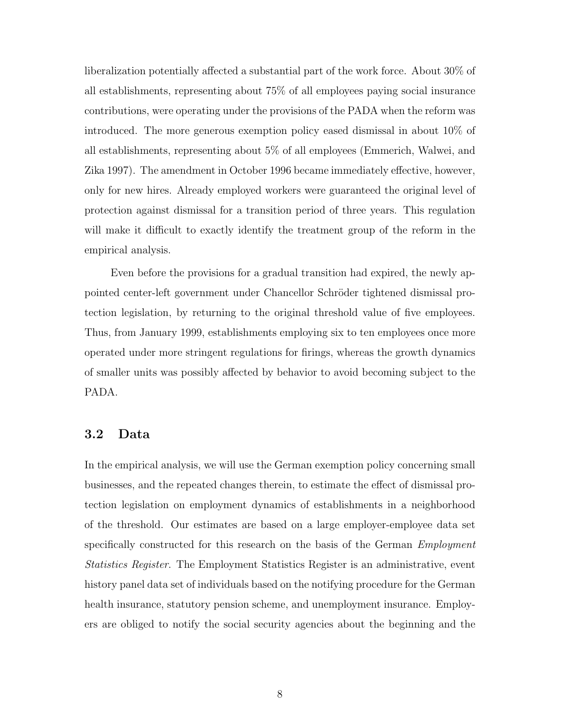liberalization potentially affected a substantial part of the work force. About 30% of all establishments, representing about 75% of all employees paying social insurance contributions, were operating under the provisions of the PADA when the reform was introduced. The more generous exemption policy eased dismissal in about 10% of all establishments, representing about 5% of all employees (Emmerich, Walwei, and Zika 1997). The amendment in October 1996 became immediately effective, however, only for new hires. Already employed workers were guaranteed the original level of protection against dismissal for a transition period of three years. This regulation will make it difficult to exactly identify the treatment group of the reform in the empirical analysis.

Even before the provisions for a gradual transition had expired, the newly appointed center-left government under Chancellor Schröder tightened dismissal protection legislation, by returning to the original threshold value of five employees. Thus, from January 1999, establishments employing six to ten employees once more operated under more stringent regulations for firings, whereas the growth dynamics of smaller units was possibly affected by behavior to avoid becoming subject to the PADA.

#### 3.2 Data

In the empirical analysis, we will use the German exemption policy concerning small businesses, and the repeated changes therein, to estimate the effect of dismissal protection legislation on employment dynamics of establishments in a neighborhood of the threshold. Our estimates are based on a large employer-employee data set specifically constructed for this research on the basis of the German *Employment* Statistics Register. The Employment Statistics Register is an administrative, event history panel data set of individuals based on the notifying procedure for the German health insurance, statutory pension scheme, and unemployment insurance. Employers are obliged to notify the social security agencies about the beginning and the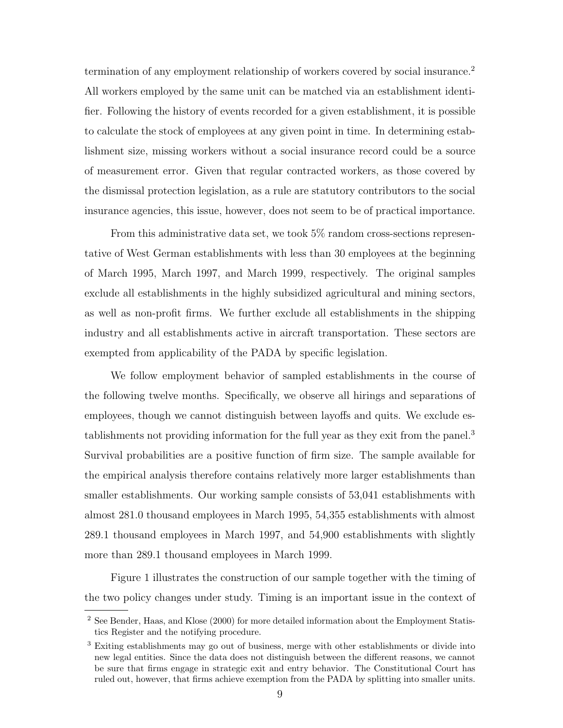termination of any employment relationship of workers covered by social insurance.<sup>2</sup> All workers employed by the same unit can be matched via an establishment identifier. Following the history of events recorded for a given establishment, it is possible to calculate the stock of employees at any given point in time. In determining establishment size, missing workers without a social insurance record could be a source of measurement error. Given that regular contracted workers, as those covered by the dismissal protection legislation, as a rule are statutory contributors to the social insurance agencies, this issue, however, does not seem to be of practical importance.

From this administrative data set, we took 5\% random cross-sections representative of West German establishments with less than 30 employees at the beginning of March 1995, March 1997, and March 1999, respectively. The original samples exclude all establishments in the highly subsidized agricultural and mining sectors, as well as non-profit firms. We further exclude all establishments in the shipping industry and all establishments active in aircraft transportation. These sectors are exempted from applicability of the PADA by specific legislation.

We follow employment behavior of sampled establishments in the course of the following twelve months. Specifically, we observe all hirings and separations of employees, though we cannot distinguish between layoffs and quits. We exclude establishments not providing information for the full year as they exit from the panel.<sup>3</sup> Survival probabilities are a positive function of firm size. The sample available for the empirical analysis therefore contains relatively more larger establishments than smaller establishments. Our working sample consists of 53,041 establishments with almost 281.0 thousand employees in March 1995, 54,355 establishments with almost 289.1 thousand employees in March 1997, and 54,900 establishments with slightly more than 289.1 thousand employees in March 1999.

Figure 1 illustrates the construction of our sample together with the timing of the two policy changes under study. Timing is an important issue in the context of

<sup>2</sup> See Bender, Haas, and Klose (2000) for more detailed information about the Employment Statistics Register and the notifying procedure.

<sup>&</sup>lt;sup>3</sup> Exiting establishments may go out of business, merge with other establishments or divide into new legal entities. Since the data does not distinguish between the different reasons, we cannot be sure that firms engage in strategic exit and entry behavior. The Constitutional Court has ruled out, however, that firms achieve exemption from the PADA by splitting into smaller units.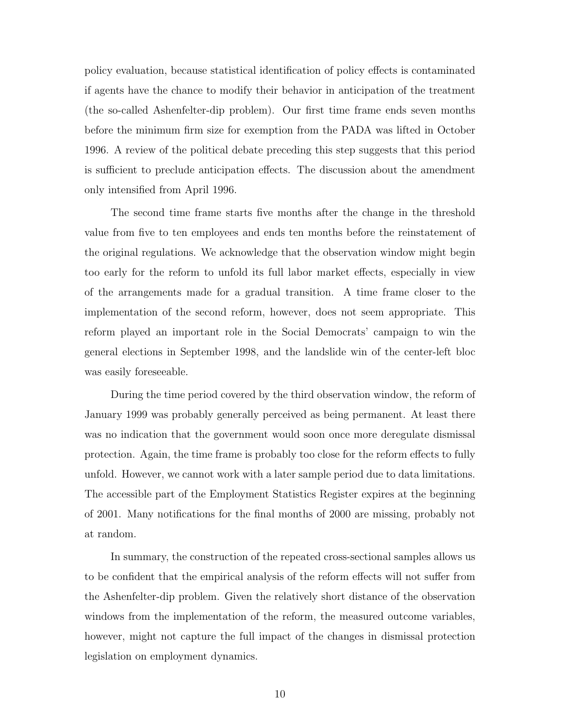policy evaluation, because statistical identification of policy effects is contaminated if agents have the chance to modify their behavior in anticipation of the treatment (the so-called Ashenfelter-dip problem). Our first time frame ends seven months before the minimum firm size for exemption from the PADA was lifted in October 1996. A review of the political debate preceding this step suggests that this period is sufficient to preclude anticipation effects. The discussion about the amendment only intensified from April 1996.

The second time frame starts five months after the change in the threshold value from five to ten employees and ends ten months before the reinstatement of the original regulations. We acknowledge that the observation window might begin too early for the reform to unfold its full labor market effects, especially in view of the arrangements made for a gradual transition. A time frame closer to the implementation of the second reform, however, does not seem appropriate. This reform played an important role in the Social Democrats' campaign to win the general elections in September 1998, and the landslide win of the center-left bloc was easily foreseeable.

During the time period covered by the third observation window, the reform of January 1999 was probably generally perceived as being permanent. At least there was no indication that the government would soon once more deregulate dismissal protection. Again, the time frame is probably too close for the reform effects to fully unfold. However, we cannot work with a later sample period due to data limitations. The accessible part of the Employment Statistics Register expires at the beginning of 2001. Many notifications for the final months of 2000 are missing, probably not at random.

In summary, the construction of the repeated cross-sectional samples allows us to be confident that the empirical analysis of the reform effects will not suffer from the Ashenfelter-dip problem. Given the relatively short distance of the observation windows from the implementation of the reform, the measured outcome variables, however, might not capture the full impact of the changes in dismissal protection legislation on employment dynamics.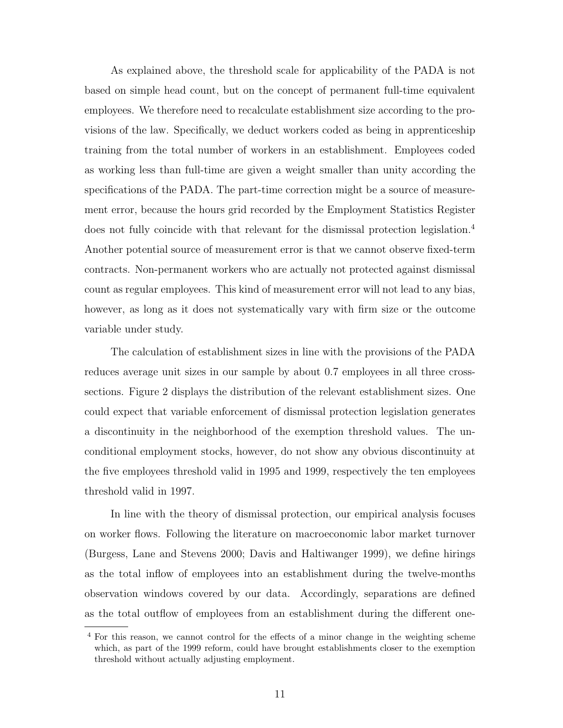As explained above, the threshold scale for applicability of the PADA is not based on simple head count, but on the concept of permanent full-time equivalent employees. We therefore need to recalculate establishment size according to the provisions of the law. Specifically, we deduct workers coded as being in apprenticeship training from the total number of workers in an establishment. Employees coded as working less than full-time are given a weight smaller than unity according the specifications of the PADA. The part-time correction might be a source of measurement error, because the hours grid recorded by the Employment Statistics Register does not fully coincide with that relevant for the dismissal protection legislation.<sup>4</sup> Another potential source of measurement error is that we cannot observe fixed-term contracts. Non-permanent workers who are actually not protected against dismissal count as regular employees. This kind of measurement error will not lead to any bias, however, as long as it does not systematically vary with firm size or the outcome variable under study.

The calculation of establishment sizes in line with the provisions of the PADA reduces average unit sizes in our sample by about 0.7 employees in all three crosssections. Figure 2 displays the distribution of the relevant establishment sizes. One could expect that variable enforcement of dismissal protection legislation generates a discontinuity in the neighborhood of the exemption threshold values. The unconditional employment stocks, however, do not show any obvious discontinuity at the five employees threshold valid in 1995 and 1999, respectively the ten employees threshold valid in 1997.

In line with the theory of dismissal protection, our empirical analysis focuses on worker flows. Following the literature on macroeconomic labor market turnover (Burgess, Lane and Stevens 2000; Davis and Haltiwanger 1999), we define hirings as the total inflow of employees into an establishment during the twelve-months observation windows covered by our data. Accordingly, separations are defined as the total outflow of employees from an establishment during the different one-

<sup>&</sup>lt;sup>4</sup> For this reason, we cannot control for the effects of a minor change in the weighting scheme which, as part of the 1999 reform, could have brought establishments closer to the exemption threshold without actually adjusting employment.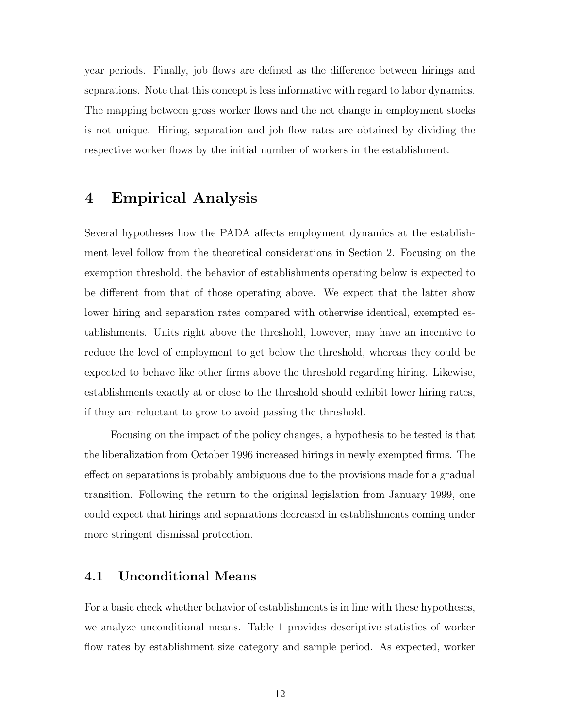year periods. Finally, job flows are defined as the difference between hirings and separations. Note that this concept is less informative with regard to labor dynamics. The mapping between gross worker flows and the net change in employment stocks is not unique. Hiring, separation and job flow rates are obtained by dividing the respective worker flows by the initial number of workers in the establishment.

#### 4 Empirical Analysis

Several hypotheses how the PADA affects employment dynamics at the establishment level follow from the theoretical considerations in Section 2. Focusing on the exemption threshold, the behavior of establishments operating below is expected to be different from that of those operating above. We expect that the latter show lower hiring and separation rates compared with otherwise identical, exempted establishments. Units right above the threshold, however, may have an incentive to reduce the level of employment to get below the threshold, whereas they could be expected to behave like other firms above the threshold regarding hiring. Likewise, establishments exactly at or close to the threshold should exhibit lower hiring rates, if they are reluctant to grow to avoid passing the threshold.

Focusing on the impact of the policy changes, a hypothesis to be tested is that the liberalization from October 1996 increased hirings in newly exempted firms. The effect on separations is probably ambiguous due to the provisions made for a gradual transition. Following the return to the original legislation from January 1999, one could expect that hirings and separations decreased in establishments coming under more stringent dismissal protection.

#### 4.1 Unconditional Means

For a basic check whether behavior of establishments is in line with these hypotheses, we analyze unconditional means. Table 1 provides descriptive statistics of worker flow rates by establishment size category and sample period. As expected, worker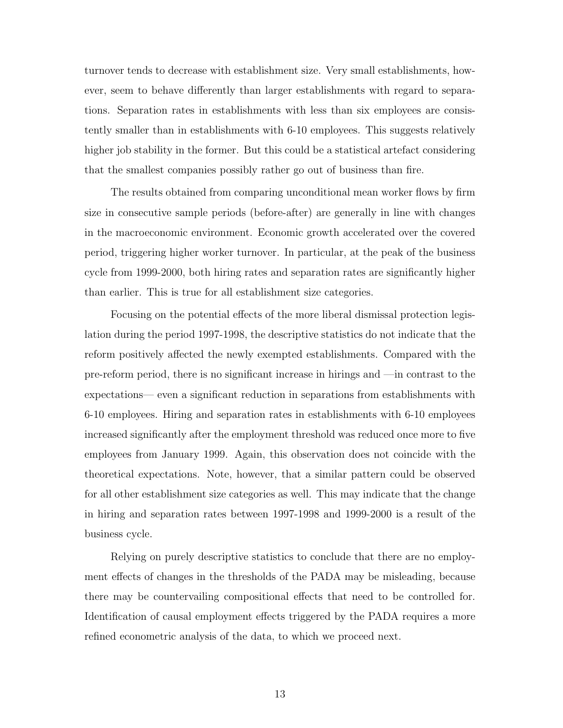turnover tends to decrease with establishment size. Very small establishments, however, seem to behave differently than larger establishments with regard to separations. Separation rates in establishments with less than six employees are consistently smaller than in establishments with 6-10 employees. This suggests relatively higher job stability in the former. But this could be a statistical artefact considering that the smallest companies possibly rather go out of business than fire.

The results obtained from comparing unconditional mean worker flows by firm size in consecutive sample periods (before-after) are generally in line with changes in the macroeconomic environment. Economic growth accelerated over the covered period, triggering higher worker turnover. In particular, at the peak of the business cycle from 1999-2000, both hiring rates and separation rates are significantly higher than earlier. This is true for all establishment size categories.

Focusing on the potential effects of the more liberal dismissal protection legislation during the period 1997-1998, the descriptive statistics do not indicate that the reform positively affected the newly exempted establishments. Compared with the pre-reform period, there is no significant increase in hirings and —in contrast to the expectations— even a significant reduction in separations from establishments with 6-10 employees. Hiring and separation rates in establishments with 6-10 employees increased significantly after the employment threshold was reduced once more to five employees from January 1999. Again, this observation does not coincide with the theoretical expectations. Note, however, that a similar pattern could be observed for all other establishment size categories as well. This may indicate that the change in hiring and separation rates between 1997-1998 and 1999-2000 is a result of the business cycle.

Relying on purely descriptive statistics to conclude that there are no employment effects of changes in the thresholds of the PADA may be misleading, because there may be countervailing compositional effects that need to be controlled for. Identification of causal employment effects triggered by the PADA requires a more refined econometric analysis of the data, to which we proceed next.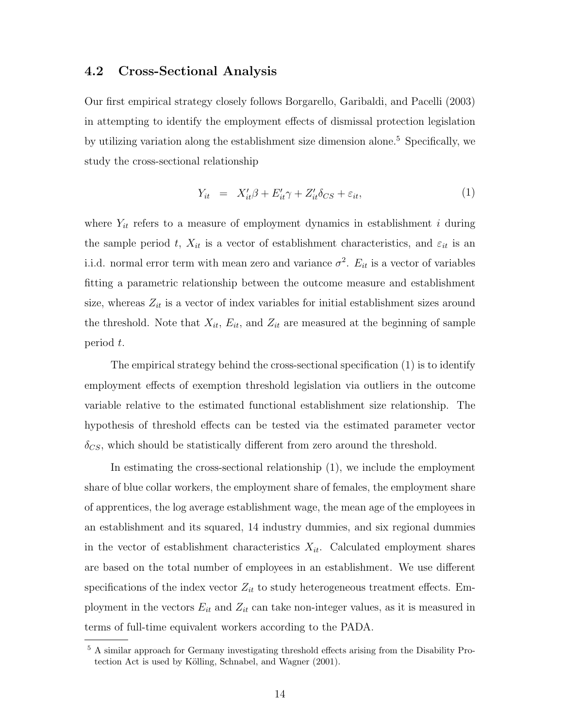#### 4.2 Cross-Sectional Analysis

Our first empirical strategy closely follows Borgarello, Garibaldi, and Pacelli (2003) in attempting to identify the employment effects of dismissal protection legislation by utilizing variation along the establishment size dimension alone.<sup>5</sup> Specifically, we study the cross-sectional relationship

$$
Y_{it} = X_{it}'\beta + E_{it}'\gamma + Z_{it}'\delta_{CS} + \varepsilon_{it}, \tag{1}
$$

where  $Y_{it}$  refers to a measure of employment dynamics in establishment i during the sample period t,  $X_{it}$  is a vector of establishment characteristics, and  $\varepsilon_{it}$  is an i.i.d. normal error term with mean zero and variance  $\sigma^2$ .  $E_{it}$  is a vector of variables fitting a parametric relationship between the outcome measure and establishment size, whereas  $Z_{it}$  is a vector of index variables for initial establishment sizes around the threshold. Note that  $X_{it}$ ,  $E_{it}$ , and  $Z_{it}$  are measured at the beginning of sample period t.

The empirical strategy behind the cross-sectional specification (1) is to identify employment effects of exemption threshold legislation via outliers in the outcome variable relative to the estimated functional establishment size relationship. The hypothesis of threshold effects can be tested via the estimated parameter vector  $\delta_{CS}$ , which should be statistically different from zero around the threshold.

In estimating the cross-sectional relationship (1), we include the employment share of blue collar workers, the employment share of females, the employment share of apprentices, the log average establishment wage, the mean age of the employees in an establishment and its squared, 14 industry dummies, and six regional dummies in the vector of establishment characteristics  $X_{it}$ . Calculated employment shares are based on the total number of employees in an establishment. We use different specifications of the index vector  $Z_{it}$  to study heterogeneous treatment effects. Employment in the vectors  $E_{it}$  and  $Z_{it}$  can take non-integer values, as it is measured in terms of full-time equivalent workers according to the PADA.

<sup>5</sup> A similar approach for Germany investigating threshold effects arising from the Disability Protection Act is used by Kölling, Schnabel, and Wagner (2001).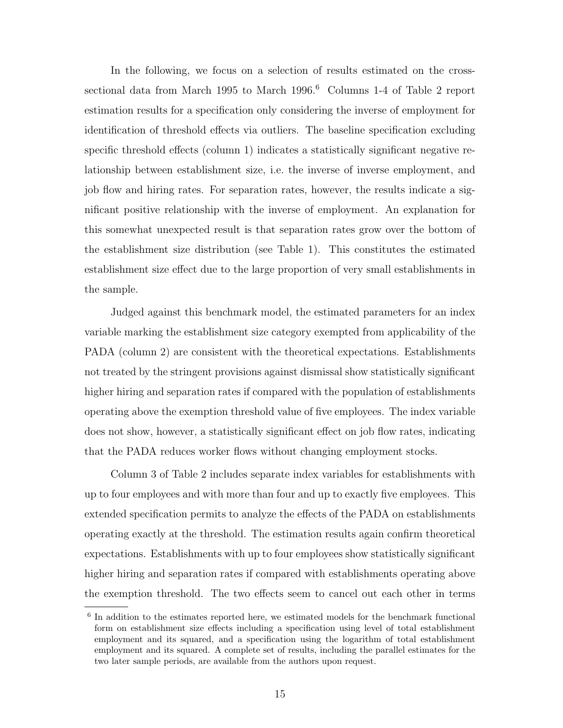In the following, we focus on a selection of results estimated on the crosssectional data from March 1995 to March 1996.<sup>6</sup> Columns 1-4 of Table 2 report estimation results for a specification only considering the inverse of employment for identification of threshold effects via outliers. The baseline specification excluding specific threshold effects (column 1) indicates a statistically significant negative relationship between establishment size, i.e. the inverse of inverse employment, and job flow and hiring rates. For separation rates, however, the results indicate a significant positive relationship with the inverse of employment. An explanation for this somewhat unexpected result is that separation rates grow over the bottom of the establishment size distribution (see Table 1). This constitutes the estimated establishment size effect due to the large proportion of very small establishments in the sample.

Judged against this benchmark model, the estimated parameters for an index variable marking the establishment size category exempted from applicability of the PADA (column 2) are consistent with the theoretical expectations. Establishments not treated by the stringent provisions against dismissal show statistically significant higher hiring and separation rates if compared with the population of establishments operating above the exemption threshold value of five employees. The index variable does not show, however, a statistically significant effect on job flow rates, indicating that the PADA reduces worker flows without changing employment stocks.

Column 3 of Table 2 includes separate index variables for establishments with up to four employees and with more than four and up to exactly five employees. This extended specification permits to analyze the effects of the PADA on establishments operating exactly at the threshold. The estimation results again confirm theoretical expectations. Establishments with up to four employees show statistically significant higher hiring and separation rates if compared with establishments operating above the exemption threshold. The two effects seem to cancel out each other in terms

<sup>&</sup>lt;sup>6</sup> In addition to the estimates reported here, we estimated models for the benchmark functional form on establishment size effects including a specification using level of total establishment employment and its squared, and a specification using the logarithm of total establishment employment and its squared. A complete set of results, including the parallel estimates for the two later sample periods, are available from the authors upon request.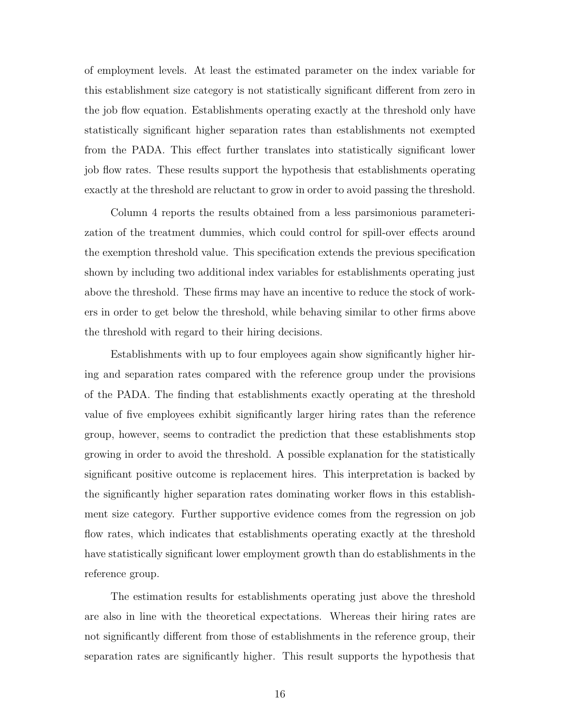of employment levels. At least the estimated parameter on the index variable for this establishment size category is not statistically significant different from zero in the job flow equation. Establishments operating exactly at the threshold only have statistically significant higher separation rates than establishments not exempted from the PADA. This effect further translates into statistically significant lower job flow rates. These results support the hypothesis that establishments operating exactly at the threshold are reluctant to grow in order to avoid passing the threshold.

Column 4 reports the results obtained from a less parsimonious parameterization of the treatment dummies, which could control for spill-over effects around the exemption threshold value. This specification extends the previous specification shown by including two additional index variables for establishments operating just above the threshold. These firms may have an incentive to reduce the stock of workers in order to get below the threshold, while behaving similar to other firms above the threshold with regard to their hiring decisions.

Establishments with up to four employees again show significantly higher hiring and separation rates compared with the reference group under the provisions of the PADA. The finding that establishments exactly operating at the threshold value of five employees exhibit significantly larger hiring rates than the reference group, however, seems to contradict the prediction that these establishments stop growing in order to avoid the threshold. A possible explanation for the statistically significant positive outcome is replacement hires. This interpretation is backed by the significantly higher separation rates dominating worker flows in this establishment size category. Further supportive evidence comes from the regression on job flow rates, which indicates that establishments operating exactly at the threshold have statistically significant lower employment growth than do establishments in the reference group.

The estimation results for establishments operating just above the threshold are also in line with the theoretical expectations. Whereas their hiring rates are not significantly different from those of establishments in the reference group, their separation rates are significantly higher. This result supports the hypothesis that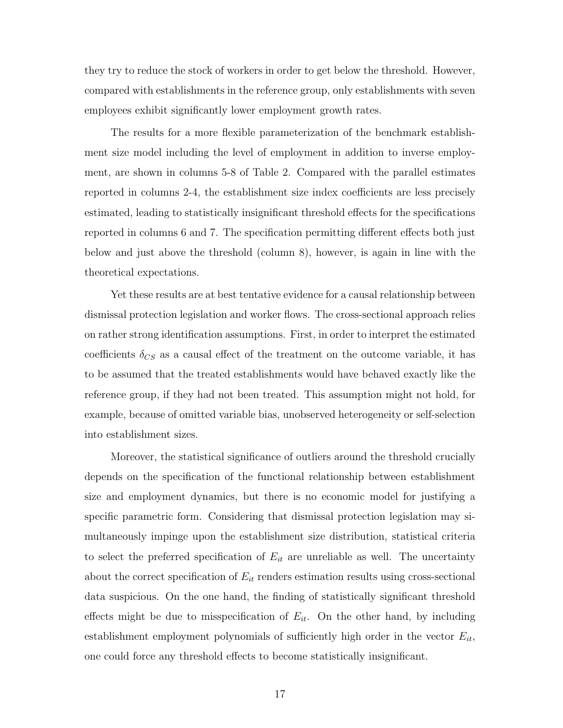they try to reduce the stock of workers in order to get below the threshold. However, compared with establishments in the reference group, only establishments with seven employees exhibit significantly lower employment growth rates.

The results for a more flexible parameterization of the benchmark establishment size model including the level of employment in addition to inverse employment, are shown in columns 5-8 of Table 2. Compared with the parallel estimates reported in columns 2-4, the establishment size index coefficients are less precisely estimated, leading to statistically insignificant threshold effects for the specifications reported in columns 6 and 7. The specification permitting different effects both just below and just above the threshold (column 8), however, is again in line with the theoretical expectations.

Yet these results are at best tentative evidence for a causal relationship between dismissal protection legislation and worker flows. The cross-sectional approach relies on rather strong identification assumptions. First, in order to interpret the estimated coefficients  $\delta_{CS}$  as a causal effect of the treatment on the outcome variable, it has to be assumed that the treated establishments would have behaved exactly like the reference group, if they had not been treated. This assumption might not hold, for example, because of omitted variable bias, unobserved heterogeneity or self-selection into establishment sizes.

Moreover, the statistical significance of outliers around the threshold crucially depends on the specification of the functional relationship between establishment size and employment dynamics, but there is no economic model for justifying a specific parametric form. Considering that dismissal protection legislation may simultaneously impinge upon the establishment size distribution, statistical criteria to select the preferred specification of  $E_{it}$  are unreliable as well. The uncertainty about the correct specification of  $E_{it}$  renders estimation results using cross-sectional data suspicious. On the one hand, the finding of statistically significant threshold effects might be due to misspecification of  $E_{it}$ . On the other hand, by including establishment employment polynomials of sufficiently high order in the vector  $E_{it}$ , one could force any threshold effects to become statistically insignificant.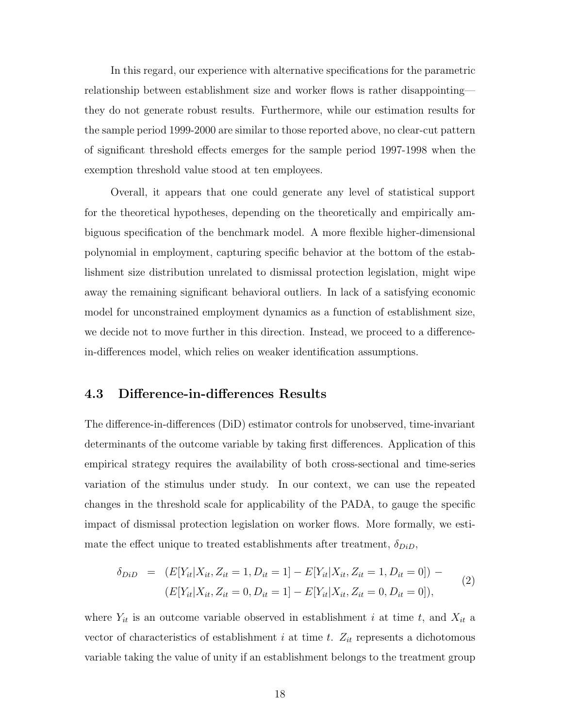In this regard, our experience with alternative specifications for the parametric relationship between establishment size and worker flows is rather disappointing they do not generate robust results. Furthermore, while our estimation results for the sample period 1999-2000 are similar to those reported above, no clear-cut pattern of significant threshold effects emerges for the sample period 1997-1998 when the exemption threshold value stood at ten employees.

Overall, it appears that one could generate any level of statistical support for the theoretical hypotheses, depending on the theoretically and empirically ambiguous specification of the benchmark model. A more flexible higher-dimensional polynomial in employment, capturing specific behavior at the bottom of the establishment size distribution unrelated to dismissal protection legislation, might wipe away the remaining significant behavioral outliers. In lack of a satisfying economic model for unconstrained employment dynamics as a function of establishment size, we decide not to move further in this direction. Instead, we proceed to a differencein-differences model, which relies on weaker identification assumptions.

#### 4.3 Difference-in-differences Results

The difference-in-differences (DiD) estimator controls for unobserved, time-invariant determinants of the outcome variable by taking first differences. Application of this empirical strategy requires the availability of both cross-sectional and time-series variation of the stimulus under study. In our context, we can use the repeated changes in the threshold scale for applicability of the PADA, to gauge the specific impact of dismissal protection legislation on worker flows. More formally, we estimate the effect unique to treated establishments after treatment,  $\delta_{DiD}$ ,

$$
\delta_{DiD} = (E[Y_{it}|X_{it}, Z_{it} = 1, D_{it} = 1] - E[Y_{it}|X_{it}, Z_{it} = 1, D_{it} = 0]) -
$$
  

$$
(E[Y_{it}|X_{it}, Z_{it} = 0, D_{it} = 1] - E[Y_{it}|X_{it}, Z_{it} = 0, D_{it} = 0]),
$$
\n(2)

where  $Y_{it}$  is an outcome variable observed in establishment i at time t, and  $X_{it}$  a vector of characteristics of establishment i at time t.  $Z_{it}$  represents a dichotomous variable taking the value of unity if an establishment belongs to the treatment group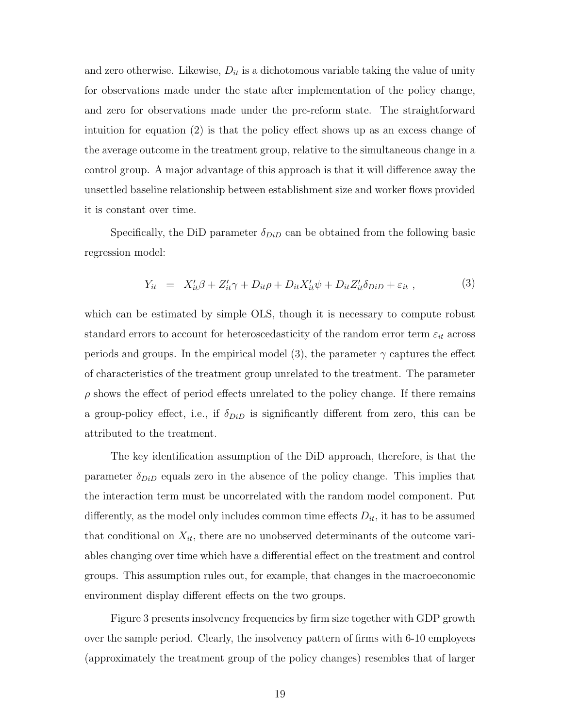and zero otherwise. Likewise,  $D_{it}$  is a dichotomous variable taking the value of unity for observations made under the state after implementation of the policy change, and zero for observations made under the pre-reform state. The straightforward intuition for equation (2) is that the policy effect shows up as an excess change of the average outcome in the treatment group, relative to the simultaneous change in a control group. A major advantage of this approach is that it will difference away the unsettled baseline relationship between establishment size and worker flows provided it is constant over time.

Specifically, the DiD parameter  $\delta_{DiD}$  can be obtained from the following basic regression model:

$$
Y_{it} = X'_{it}\beta + Z'_{it}\gamma + D_{it}\rho + D_{it}X'_{it}\psi + D_{it}Z'_{it}\delta_{DiD} + \varepsilon_{it} , \qquad (3)
$$

which can be estimated by simple OLS, though it is necessary to compute robust standard errors to account for heteroscedasticity of the random error term  $\varepsilon_{it}$  across periods and groups. In the empirical model (3), the parameter  $\gamma$  captures the effect of characteristics of the treatment group unrelated to the treatment. The parameter  $\rho$  shows the effect of period effects unrelated to the policy change. If there remains a group-policy effect, i.e., if  $\delta_{DiD}$  is significantly different from zero, this can be attributed to the treatment.

The key identification assumption of the DiD approach, therefore, is that the parameter  $\delta_{DiD}$  equals zero in the absence of the policy change. This implies that the interaction term must be uncorrelated with the random model component. Put differently, as the model only includes common time effects  $D_{it}$ , it has to be assumed that conditional on  $X_{it}$ , there are no unobserved determinants of the outcome variables changing over time which have a differential effect on the treatment and control groups. This assumption rules out, for example, that changes in the macroeconomic environment display different effects on the two groups.

Figure 3 presents insolvency frequencies by firm size together with GDP growth over the sample period. Clearly, the insolvency pattern of firms with 6-10 employees (approximately the treatment group of the policy changes) resembles that of larger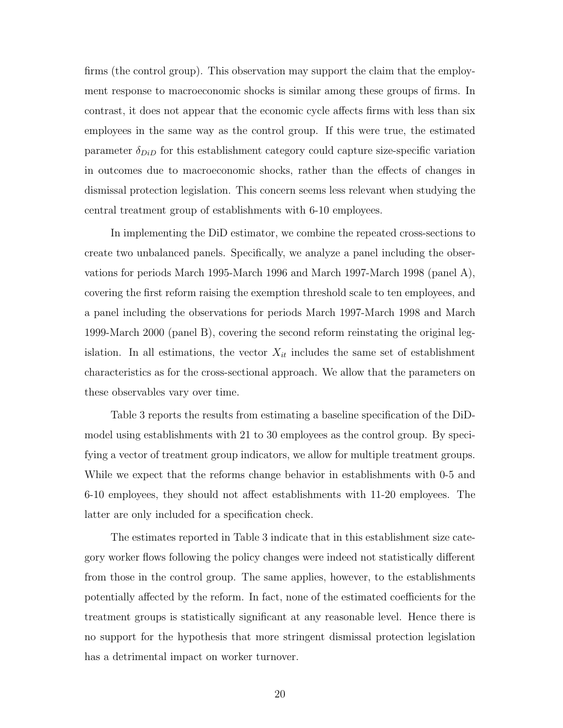firms (the control group). This observation may support the claim that the employment response to macroeconomic shocks is similar among these groups of firms. In contrast, it does not appear that the economic cycle affects firms with less than six employees in the same way as the control group. If this were true, the estimated parameter  $\delta_{DiD}$  for this establishment category could capture size-specific variation in outcomes due to macroeconomic shocks, rather than the effects of changes in dismissal protection legislation. This concern seems less relevant when studying the central treatment group of establishments with 6-10 employees.

In implementing the DiD estimator, we combine the repeated cross-sections to create two unbalanced panels. Specifically, we analyze a panel including the observations for periods March 1995-March 1996 and March 1997-March 1998 (panel A), covering the first reform raising the exemption threshold scale to ten employees, and a panel including the observations for periods March 1997-March 1998 and March 1999-March 2000 (panel B), covering the second reform reinstating the original legislation. In all estimations, the vector  $X_{it}$  includes the same set of establishment characteristics as for the cross-sectional approach. We allow that the parameters on these observables vary over time.

Table 3 reports the results from estimating a baseline specification of the DiDmodel using establishments with 21 to 30 employees as the control group. By specifying a vector of treatment group indicators, we allow for multiple treatment groups. While we expect that the reforms change behavior in establishments with 0-5 and 6-10 employees, they should not affect establishments with 11-20 employees. The latter are only included for a specification check.

The estimates reported in Table 3 indicate that in this establishment size category worker flows following the policy changes were indeed not statistically different from those in the control group. The same applies, however, to the establishments potentially affected by the reform. In fact, none of the estimated coefficients for the treatment groups is statistically significant at any reasonable level. Hence there is no support for the hypothesis that more stringent dismissal protection legislation has a detrimental impact on worker turnover.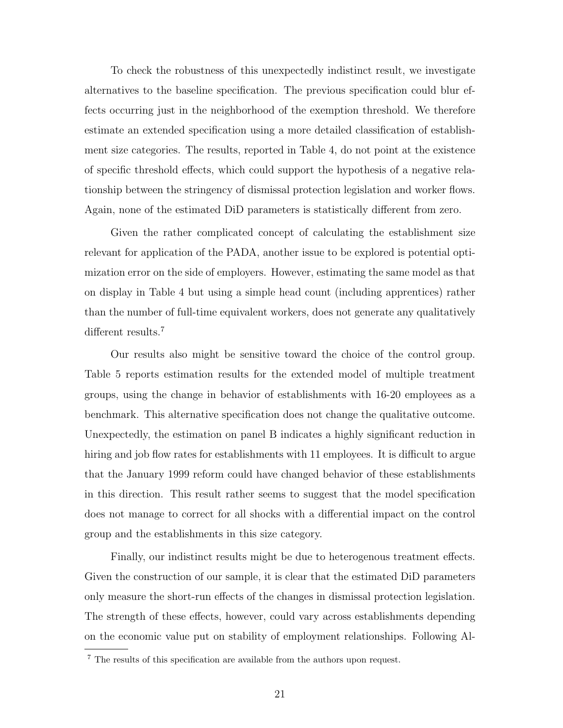To check the robustness of this unexpectedly indistinct result, we investigate alternatives to the baseline specification. The previous specification could blur effects occurring just in the neighborhood of the exemption threshold. We therefore estimate an extended specification using a more detailed classification of establishment size categories. The results, reported in Table 4, do not point at the existence of specific threshold effects, which could support the hypothesis of a negative relationship between the stringency of dismissal protection legislation and worker flows. Again, none of the estimated DiD parameters is statistically different from zero.

Given the rather complicated concept of calculating the establishment size relevant for application of the PADA, another issue to be explored is potential optimization error on the side of employers. However, estimating the same model as that on display in Table 4 but using a simple head count (including apprentices) rather than the number of full-time equivalent workers, does not generate any qualitatively different results.<sup>7</sup>

Our results also might be sensitive toward the choice of the control group. Table 5 reports estimation results for the extended model of multiple treatment groups, using the change in behavior of establishments with 16-20 employees as a benchmark. This alternative specification does not change the qualitative outcome. Unexpectedly, the estimation on panel B indicates a highly significant reduction in hiring and job flow rates for establishments with 11 employees. It is difficult to argue that the January 1999 reform could have changed behavior of these establishments in this direction. This result rather seems to suggest that the model specification does not manage to correct for all shocks with a differential impact on the control group and the establishments in this size category.

Finally, our indistinct results might be due to heterogenous treatment effects. Given the construction of our sample, it is clear that the estimated DiD parameters only measure the short-run effects of the changes in dismissal protection legislation. The strength of these effects, however, could vary across establishments depending on the economic value put on stability of employment relationships. Following Al-

<sup>7</sup> The results of this specification are available from the authors upon request.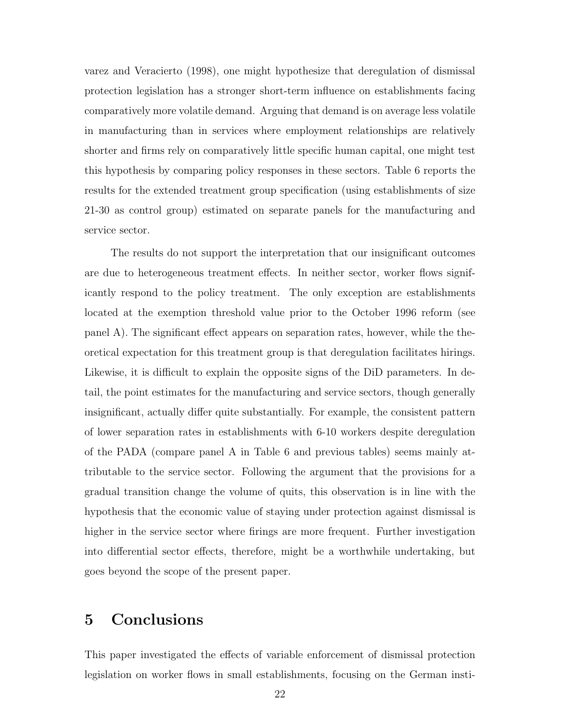varez and Veracierto (1998), one might hypothesize that deregulation of dismissal protection legislation has a stronger short-term influence on establishments facing comparatively more volatile demand. Arguing that demand is on average less volatile in manufacturing than in services where employment relationships are relatively shorter and firms rely on comparatively little specific human capital, one might test this hypothesis by comparing policy responses in these sectors. Table 6 reports the results for the extended treatment group specification (using establishments of size 21-30 as control group) estimated on separate panels for the manufacturing and service sector.

The results do not support the interpretation that our insignificant outcomes are due to heterogeneous treatment effects. In neither sector, worker flows significantly respond to the policy treatment. The only exception are establishments located at the exemption threshold value prior to the October 1996 reform (see panel A). The significant effect appears on separation rates, however, while the theoretical expectation for this treatment group is that deregulation facilitates hirings. Likewise, it is difficult to explain the opposite signs of the DiD parameters. In detail, the point estimates for the manufacturing and service sectors, though generally insignificant, actually differ quite substantially. For example, the consistent pattern of lower separation rates in establishments with 6-10 workers despite deregulation of the PADA (compare panel A in Table 6 and previous tables) seems mainly attributable to the service sector. Following the argument that the provisions for a gradual transition change the volume of quits, this observation is in line with the hypothesis that the economic value of staying under protection against dismissal is higher in the service sector where firings are more frequent. Further investigation into differential sector effects, therefore, might be a worthwhile undertaking, but goes beyond the scope of the present paper.

### 5 Conclusions

This paper investigated the effects of variable enforcement of dismissal protection legislation on worker flows in small establishments, focusing on the German insti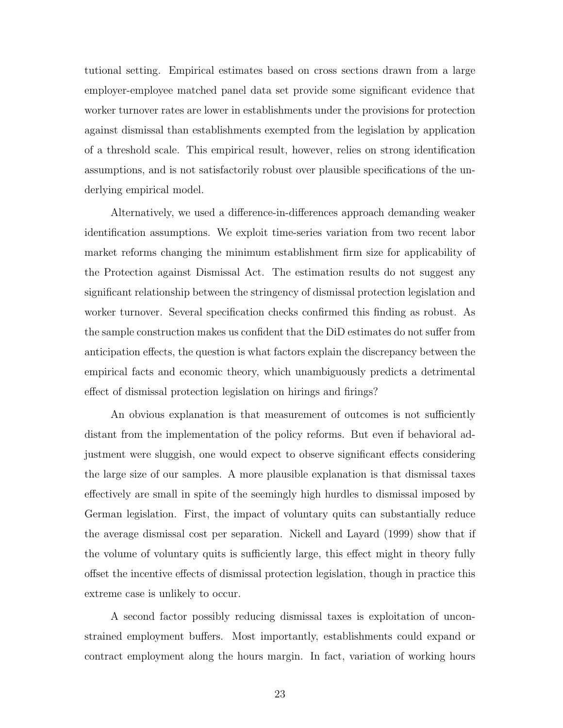tutional setting. Empirical estimates based on cross sections drawn from a large employer-employee matched panel data set provide some significant evidence that worker turnover rates are lower in establishments under the provisions for protection against dismissal than establishments exempted from the legislation by application of a threshold scale. This empirical result, however, relies on strong identification assumptions, and is not satisfactorily robust over plausible specifications of the underlying empirical model.

Alternatively, we used a difference-in-differences approach demanding weaker identification assumptions. We exploit time-series variation from two recent labor market reforms changing the minimum establishment firm size for applicability of the Protection against Dismissal Act. The estimation results do not suggest any significant relationship between the stringency of dismissal protection legislation and worker turnover. Several specification checks confirmed this finding as robust. As the sample construction makes us confident that the DiD estimates do not suffer from anticipation effects, the question is what factors explain the discrepancy between the empirical facts and economic theory, which unambiguously predicts a detrimental effect of dismissal protection legislation on hirings and firings?

An obvious explanation is that measurement of outcomes is not sufficiently distant from the implementation of the policy reforms. But even if behavioral adjustment were sluggish, one would expect to observe significant effects considering the large size of our samples. A more plausible explanation is that dismissal taxes effectively are small in spite of the seemingly high hurdles to dismissal imposed by German legislation. First, the impact of voluntary quits can substantially reduce the average dismissal cost per separation. Nickell and Layard (1999) show that if the volume of voluntary quits is sufficiently large, this effect might in theory fully offset the incentive effects of dismissal protection legislation, though in practice this extreme case is unlikely to occur.

A second factor possibly reducing dismissal taxes is exploitation of unconstrained employment buffers. Most importantly, establishments could expand or contract employment along the hours margin. In fact, variation of working hours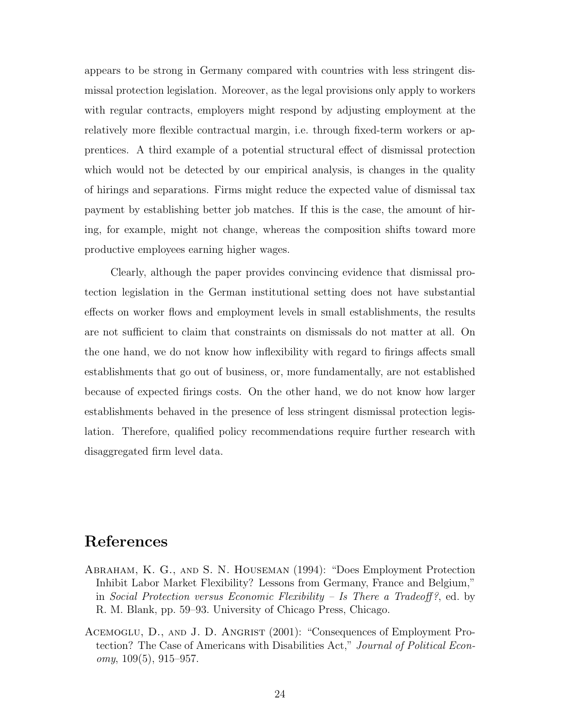appears to be strong in Germany compared with countries with less stringent dismissal protection legislation. Moreover, as the legal provisions only apply to workers with regular contracts, employers might respond by adjusting employment at the relatively more flexible contractual margin, i.e. through fixed-term workers or apprentices. A third example of a potential structural effect of dismissal protection which would not be detected by our empirical analysis, is changes in the quality of hirings and separations. Firms might reduce the expected value of dismissal tax payment by establishing better job matches. If this is the case, the amount of hiring, for example, might not change, whereas the composition shifts toward more productive employees earning higher wages.

Clearly, although the paper provides convincing evidence that dismissal protection legislation in the German institutional setting does not have substantial effects on worker flows and employment levels in small establishments, the results are not sufficient to claim that constraints on dismissals do not matter at all. On the one hand, we do not know how inflexibility with regard to firings affects small establishments that go out of business, or, more fundamentally, are not established because of expected firings costs. On the other hand, we do not know how larger establishments behaved in the presence of less stringent dismissal protection legislation. Therefore, qualified policy recommendations require further research with disaggregated firm level data.

#### References

- Abraham, K. G., and S. N. Houseman (1994): "Does Employment Protection Inhibit Labor Market Flexibility? Lessons from Germany, France and Belgium," in Social Protection versus Economic Flexibility – Is There a Tradeoff?, ed. by R. M. Blank, pp. 59–93. University of Chicago Press, Chicago.
- ACEMOGLU, D., AND J. D. ANGRIST (2001): "Consequences of Employment Protection? The Case of Americans with Disabilities Act," Journal of Political Economy, 109(5), 915–957.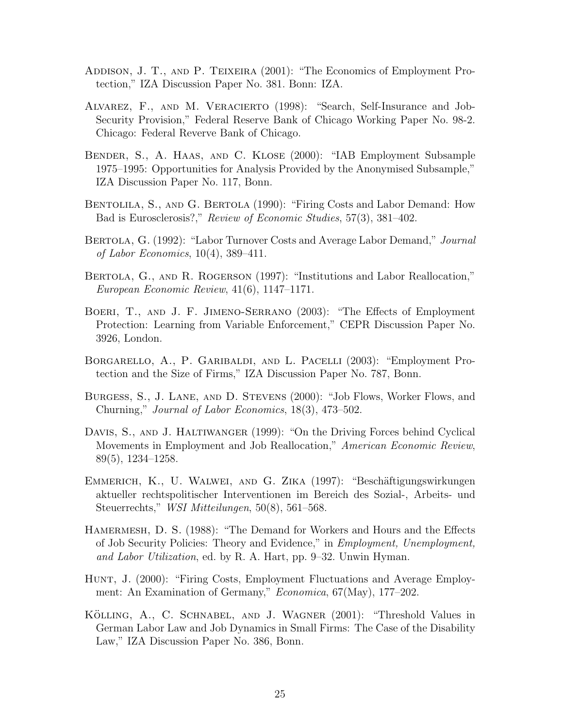- ADDISON, J. T., AND P. TEIXEIRA (2001): "The Economics of Employment Protection," IZA Discussion Paper No. 381. Bonn: IZA.
- Alvarez, F., and M. Veracierto (1998): "Search, Self-Insurance and Job-Security Provision," Federal Reserve Bank of Chicago Working Paper No. 98-2. Chicago: Federal Reverve Bank of Chicago.
- Bender, S., A. Haas, and C. Klose (2000): "IAB Employment Subsample 1975–1995: Opportunities for Analysis Provided by the Anonymised Subsample," IZA Discussion Paper No. 117, Bonn.
- Bentolila, S., and G. Bertola (1990): "Firing Costs and Labor Demand: How Bad is Eurosclerosis?," Review of Economic Studies, 57(3), 381–402.
- BERTOLA, G. (1992): "Labor Turnover Costs and Average Labor Demand," Journal of Labor Economics, 10(4), 389–411.
- BERTOLA, G., AND R. ROGERSON (1997): "Institutions and Labor Reallocation," European Economic Review, 41(6), 1147–1171.
- Boeri, T., and J. F. Jimeno-Serrano (2003): "The Effects of Employment Protection: Learning from Variable Enforcement," CEPR Discussion Paper No. 3926, London.
- Borgarello, A., P. Garibaldi, and L. Pacelli (2003): "Employment Protection and the Size of Firms," IZA Discussion Paper No. 787, Bonn.
- Burgess, S., J. Lane, and D. Stevens (2000): "Job Flows, Worker Flows, and Churning," Journal of Labor Economics, 18(3), 473–502.
- DAVIS, S., AND J. HALTIWANGER (1999): "On the Driving Forces behind Cyclical Movements in Employment and Job Reallocation," American Economic Review, 89(5), 1234–1258.
- EMMERICH, K., U. WALWEI, AND G. ZIKA (1997): "Beschäftigungswirkungen aktueller rechtspolitischer Interventionen im Bereich des Sozial-, Arbeits- und Steuerrechts," WSI Mitteilungen, 50(8), 561–568.
- HAMERMESH, D. S. (1988): "The Demand for Workers and Hours and the Effects of Job Security Policies: Theory and Evidence," in Employment, Unemployment, and Labor Utilization, ed. by R. A. Hart, pp. 9–32. Unwin Hyman.
- HUNT, J. (2000): "Firing Costs, Employment Fluctuations and Average Employment: An Examination of Germany," Economica, 67(May), 177–202.
- KÖLLING, A., C. SCHNABEL, AND J. WAGNER (2001): "Threshold Values in German Labor Law and Job Dynamics in Small Firms: The Case of the Disability Law," IZA Discussion Paper No. 386, Bonn.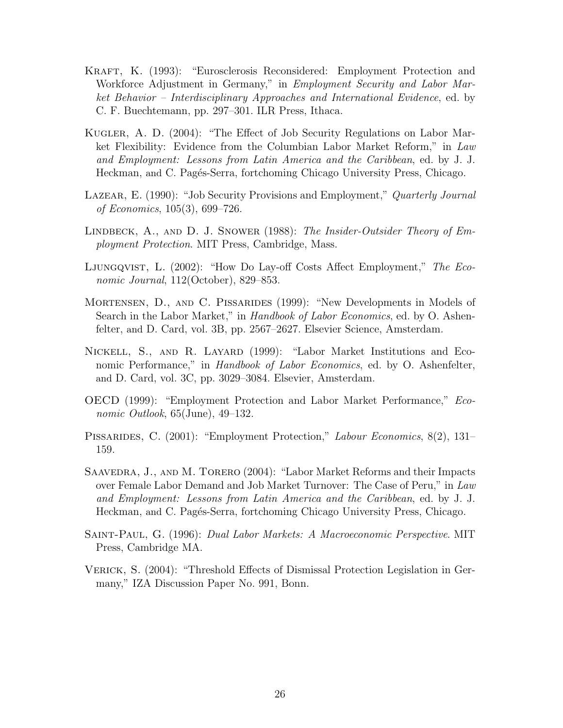- Kraft, K. (1993): "Eurosclerosis Reconsidered: Employment Protection and Workforce Adjustment in Germany," in *Employment Security and Labor Mar*ket Behavior – Interdisciplinary Approaches and International Evidence, ed. by C. F. Buechtemann, pp. 297–301. ILR Press, Ithaca.
- Kugler, A. D. (2004): "The Effect of Job Security Regulations on Labor Market Flexibility: Evidence from the Columbian Labor Market Reform," in Law and Employment: Lessons from Latin America and the Caribbean, ed. by J. J. Heckman, and C. Pagés-Serra, fortchoming Chicago University Press, Chicago.
- LAZEAR, E. (1990): "Job Security Provisions and Employment," Quarterly Journal of Economics, 105(3), 699–726.
- LINDBECK, A., AND D. J. SNOWER (1988): The Insider-Outsider Theory of Employment Protection. MIT Press, Cambridge, Mass.
- Ljungqvist, L. (2002): "How Do Lay-off Costs Affect Employment," The Economic Journal, 112(October), 829–853.
- Mortensen, D., and C. Pissarides (1999): "New Developments in Models of Search in the Labor Market," in *Handbook of Labor Economics*, ed. by O. Ashenfelter, and D. Card, vol. 3B, pp. 2567–2627. Elsevier Science, Amsterdam.
- Nickell, S., and R. Layard (1999): "Labor Market Institutions and Economic Performance," in *Handbook of Labor Economics*, ed. by O. Ashenfelter, and D. Card, vol. 3C, pp. 3029–3084. Elsevier, Amsterdam.
- OECD (1999): "Employment Protection and Labor Market Performance," Economic Outlook, 65(June), 49–132.
- PISSARIDES, C. (2001): "Employment Protection," Labour Economics, 8(2), 131– 159.
- SAAVEDRA, J., AND M. TORERO (2004): "Labor Market Reforms and their Impacts over Female Labor Demand and Job Market Turnover: The Case of Peru," in Law and Employment: Lessons from Latin America and the Caribbean, ed. by J. J. Heckman, and C. Pagés-Serra, fortchoming Chicago University Press, Chicago.
- Saint-Paul, G. (1996): Dual Labor Markets: A Macroeconomic Perspective. MIT Press, Cambridge MA.
- VERICK, S. (2004): "Threshold Effects of Dismissal Protection Legislation in Germany," IZA Discussion Paper No. 991, Bonn.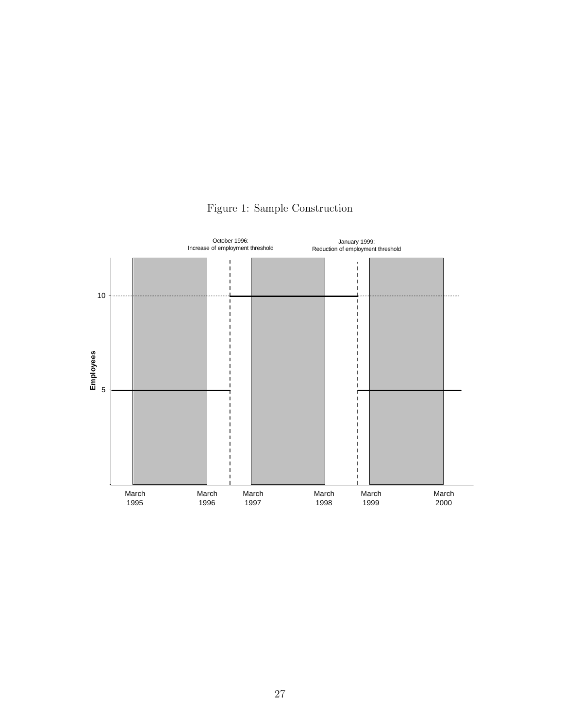

Figure 1: Sample Construction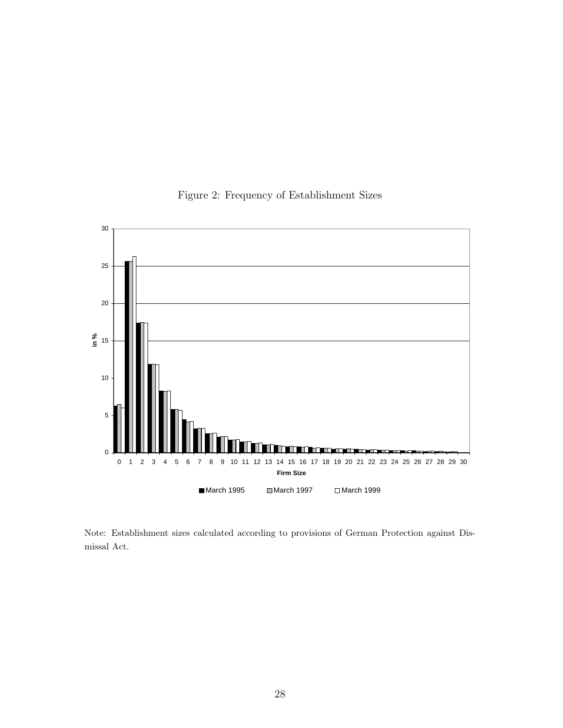

Figure 2: Frequency of Establishment Sizes

Note: Establishment sizes calculated according to provisions of German Protection against Dismissal Act.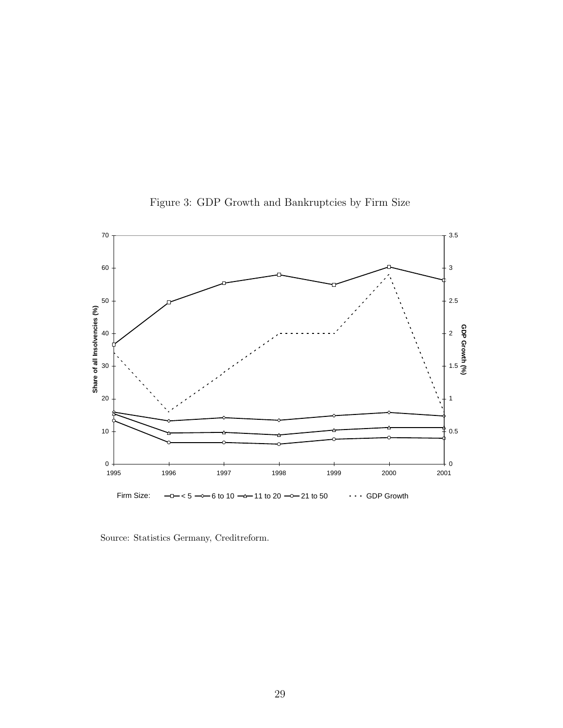

Figure 3: GDP Growth and Bankruptcies by Firm Size

Source: Statistics Germany, Creditreform.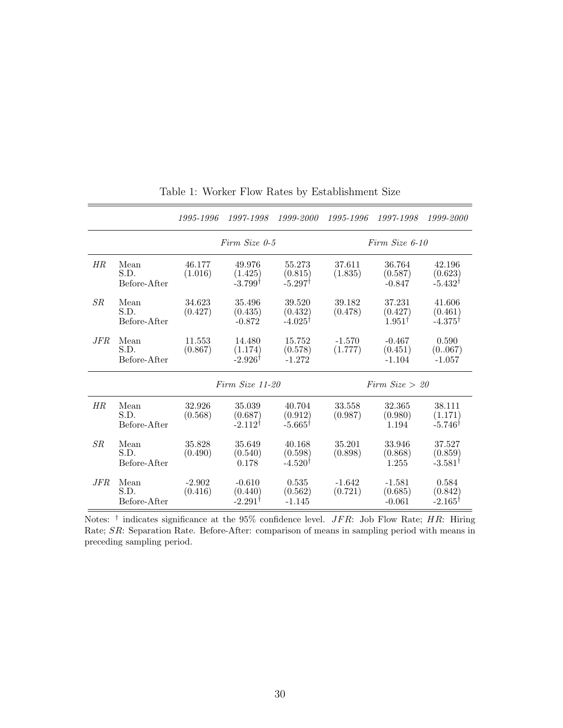|     |                              | 1995-1996           | 1997-1998                                    | 1999-2000                               | 1995-1996           | 1997-1998                              | 1999-2000                                 |  |  |
|-----|------------------------------|---------------------|----------------------------------------------|-----------------------------------------|---------------------|----------------------------------------|-------------------------------------------|--|--|
|     |                              | Firm Size 0-5       |                                              |                                         |                     | Firm Size 6-10                         |                                           |  |  |
| НR  | Mean<br>S.D.<br>Before-After | 46.177<br>(1.016)   | 49.976<br>(1.425)<br>$-3.799^{\dagger}$      | 55.273<br>(0.815)<br>$-5.297^{\dagger}$ | 37.611<br>(1.835)   | 36.764<br>(0.587)<br>$-0.847$          | 42.196<br>(0.623)<br>$-5.432^{\dagger}$   |  |  |
| SR  | Mean<br>S.D.<br>Before-After | 34.623<br>(0.427)   | 35.496<br>(0.435)<br>$-0.872$                | 39.520<br>(0.432)<br>$-4.025^{\dagger}$ | 39.182<br>(0.478)   | 37.231<br>(0.427)<br>$1.951^{\dagger}$ | 41.606<br>(0.461)<br>$-4.375^{\dagger}$   |  |  |
| JFR | Mean<br>S.D.<br>Before-After | 11.553<br>(0.867)   | 14.480<br>(1.174)<br>$-2.926^{\dagger}$      | 15.752<br>(0.578)<br>$-1.272$           | $-1.570$<br>(1.777) | $-0.467$<br>(0.451)<br>$-1.104$        | 0.590<br>(0.067)<br>$-1.057$              |  |  |
|     |                              | Firm Size 11-20     |                                              |                                         | Firm $Size > 20$    |                                        |                                           |  |  |
| НR  | Mean<br>S.D.<br>Before-After | 32.926<br>(0.568)   | 35.039<br>(0.687)<br>$-2.112^{\dagger}$      | 40.704<br>(0.912)<br>$-5.665^{\dagger}$ | 33.558<br>(0.987)   | 32.365<br>(0.980)<br>1.194             | 38.111<br>(1.171)<br>$-5.746^{\dagger}$   |  |  |
| SR  | Mean<br>S.D.<br>Before-After | 35.828<br>(0.490)   | 35.649<br>(0.540)<br>0.178                   | 40.168<br>(0.598)<br>$-4.520†$          | 35.201<br>(0.898)   | 33.946<br>(0.868)<br>1.255             | 37.527<br>(0.859)<br>$-3.581^{\dagger}$   |  |  |
| JFR | Mean<br>S.D.<br>Before-After | $-2.902$<br>(0.416) | $-0.610$<br>(0.440)<br>$-2.291$ <sup>t</sup> | 0.535<br>(0.562)<br>$-1.145$            | $-1.642$<br>(0.721) | $-1.581$<br>(0.685)<br>$-0.061$        | 0.584<br>(0.842)<br>$-2.165$ <sup>T</sup> |  |  |

Table 1: Worker Flow Rates by Establishment Size

Notes:  $\dagger$  indicates significance at the 95% confidence level. *JFR*: Job Flow Rate; *HR*: Hiring Rate; SR: Separation Rate. Before-After: comparison of means in sampling period with means in preceding sampling period.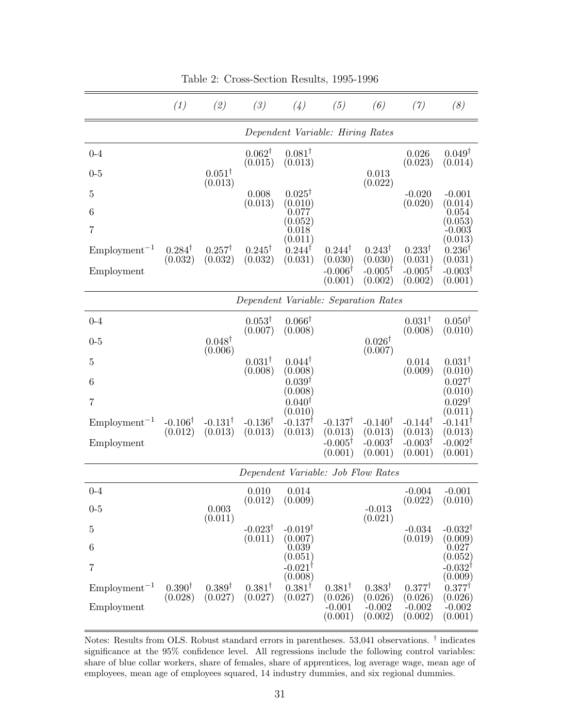|                   | (1)                              | (2)                          | (3)                                  | (4)                            | (5)                           | (6)                           | (7)                           | (8)                           |  |
|-------------------|----------------------------------|------------------------------|--------------------------------------|--------------------------------|-------------------------------|-------------------------------|-------------------------------|-------------------------------|--|
|                   | Dependent Variable: Hiring Rates |                              |                                      |                                |                               |                               |                               |                               |  |
| $0 - 4$           |                                  |                              | $0.062^{\dagger}$<br>(0.015)         | $0.081^{\dagger}$<br>(0.013)   |                               |                               | 0.026<br>(0.023)              | $0.049^{\dagger}$<br>(0.014)  |  |
| $0 - 5$           |                                  | $0.051^{\dagger}$<br>(0.013) |                                      |                                |                               | 0.013<br>(0.022)              |                               |                               |  |
| $\overline{5}$    |                                  |                              | 0.008<br>(0.013)                     | $0.025^{\dagger}$<br>(0.010)   |                               |                               | $-0.020$<br>(0.020)           | $-0.001$<br>(0.014)           |  |
| 6                 |                                  |                              |                                      | 0.077<br>$\left( 0.052\right)$ |                               |                               |                               | 0.054<br>(0.053)              |  |
| $\overline{7}$    |                                  |                              |                                      | 0.018<br>(0.011)               |                               |                               |                               | $-0.003$<br>(0.013)           |  |
| $Employment^{-1}$ | $0.284^{\dagger}$<br>(0.032)     | $0.257^{\dagger}$<br>(0.032) | $0.245^{\dagger}$<br>(0.032)         | $0.244^{\dagger}$<br>(0.031)   | $0.244^{\dagger}$<br>(0.030)  | $0.243^{\dagger}$<br>(0.030)  | $0.233^{\dagger}$<br>(0.031)  | $0.236^{\dagger}$<br>(0.031)  |  |
| Employment        |                                  |                              |                                      |                                | $-0.006^{\dagger}$<br>(0.001) | $-0.005^{\dagger}$<br>(0.002) | $-0.005^{\dagger}$<br>(0.002) | $-0.003^{\dagger}$<br>(0.001) |  |
|                   |                                  |                              | Dependent Variable: Separation Rates |                                |                               |                               |                               |                               |  |
| $0 - 4$           |                                  |                              | $0.053^{\dagger}$                    | $0.066^{\dagger}$              |                               |                               | $0.031^{\dagger}$<br>(0.008)  | $0.050^{\dagger}$             |  |
| $0 - 5$           |                                  | $0.048^{\dagger}$            | (0.007)                              | (0.008)                        |                               | $0.026^{\dagger}$             |                               | (0.010)                       |  |
| $\overline{5}$    |                                  | (0.006)                      | $0.031^{\dagger}$                    | $0.044^{\dagger}$              |                               | (0.007)                       | 0.014                         | $0.031^{\dagger}$             |  |
| 6                 |                                  |                              | (0.008)                              | (0.008)<br>$0.039^{\dagger}$   |                               |                               | (0.009)                       | (0.010)<br>$0.027^{\dagger}$  |  |
| 7                 |                                  |                              |                                      | (0.008)<br>$0.040^{\dagger}$   |                               |                               |                               | (0.010)<br>$0.029^{\dagger}$  |  |
| $Employment^{-1}$ | $-0.106^{\dagger}$               | $-0.131^{\dagger}$           | $-0.136^{\dagger}$                   | (0.010)<br>$-0.137^{\dagger}$  | $-0.137^{\dagger}$            | $-0.140^{\dagger}$            | $-0.144^{\dagger}$            | (0.011)<br>$-0.141^{\dagger}$ |  |
| Employment        | (0.012)                          | (0.013)                      | (0.013)                              | (0.013)                        | (0.013)<br>$-0.005^{\dagger}$ | (0.013)<br>$-0.003^{\dagger}$ | (0.013)<br>$-0.003^{\dagger}$ | (0.013)<br>$-0.002^{\dagger}$ |  |
|                   |                                  |                              |                                      |                                | (0.001)                       | (0.001)                       | (0.001)                       | (0.001)                       |  |
|                   |                                  |                              | Dependent Variable: Job Flow Rates   |                                |                               |                               |                               |                               |  |
| $0 - 4$           |                                  |                              | 0.010<br>(0.012)                     | 0.014<br>(0.009)               |                               |                               | $-0.004$<br>(0.022)           | $-0.001$<br>(0.010)           |  |
| $0 - 5$           |                                  | 0.003<br>(0.011)             |                                      |                                |                               | $-0.013$<br>(0.021)           |                               |                               |  |
| $\overline{5}$    |                                  |                              | $-0.023^{\dagger}$<br>(0.011)        | $-0.019^{\dagger}$<br>(0.007)  |                               |                               | $-0.034$<br>(0.019)           | $-0.032^{\dagger}$<br>(0.009) |  |
| 6                 |                                  |                              |                                      | 0.039<br>(0.051)               |                               |                               |                               | 0.027<br>(0.052)              |  |
| $\overline{7}$    |                                  |                              |                                      | $-0.021^{\dagger}$<br>(0.008)  |                               |                               |                               | $-0.032^{\dagger}$<br>(0.009) |  |
| $Employment^{-1}$ | $0.390^{\dagger}$<br>(0.028)     | $0.389^{\dagger}$<br>(0.027) | $0.381^{\dagger}$<br>(0.027)         | $0.381^{\dagger}$<br>(0.027)   | $0.381^{\dagger}$<br>(0.026)  | $0.383^{\dagger}$<br>(0.026)  | $0.377^{\dagger}$<br>(0.026)  | $0.377^{\dagger}$<br>(0.026)  |  |
| Employment        |                                  |                              |                                      |                                | $-0.001$<br>(0.001)           | $-0.002$<br>(0.002)           | $-0.002$<br>(0.002)           | $-0.002$<br>(0.001)           |  |

Table 2: Cross-Section Results, 1995-1996

Notes: Results from OLS. Robust standard errors in parentheses. 53,041 observations. † indicates significance at the 95% confidence level. All regressions include the following control variables: share of blue collar workers, share of females, share of apprentices, log average wage, mean age of employees, mean age of employees squared, 14 industry dummies, and six regional dummies.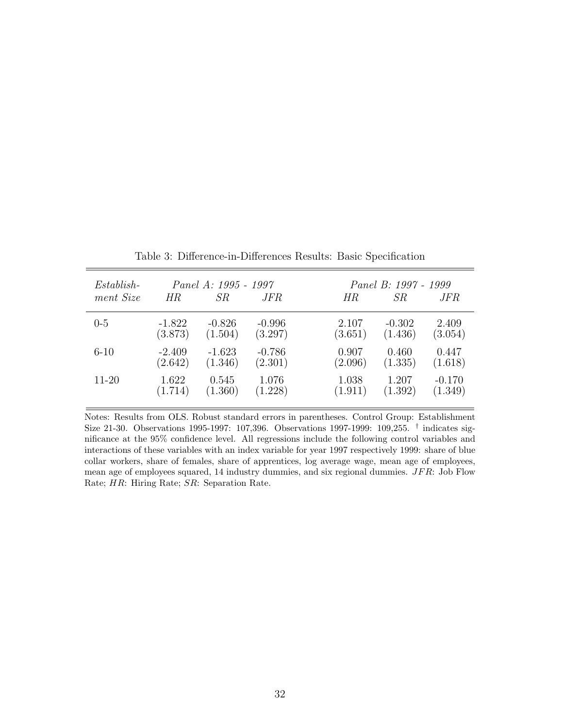| $Establish-$<br>ment Size | ΗR                  | Panel A: 1995 - 1997<br>SR | <i>JFR</i>          | Panel B: 1997 - 1999<br>SR<br>HR<br>JFR                     |
|---------------------------|---------------------|----------------------------|---------------------|-------------------------------------------------------------|
| $0-5$                     | $-1.822$<br>(3.873) | $-0.826$<br>(1.504)        | $-0.996$<br>(3.297) | 2.409<br>2.107<br>$-0.302$<br>(3.054)<br>(3.651)<br>(1.436) |
| $6 - 10$                  | $-2.409$<br>(2.642) | $-1.623$<br>(1.346)        | $-0.786$<br>(2.301) | 0.907<br>0.447<br>0.460<br>(2.096)<br>(1.335)<br>(1.618)    |
| 11-20                     | 1.622<br>(1.714)    | 0.545<br>(1.360)           | 1.076<br>(1.228)    | 1.038<br>1.207<br>$-0.170$<br>(1.911)<br>(1.392)<br>(1.349) |

Table 3: Difference-in-Differences Results: Basic Specification

Notes: Results from OLS. Robust standard errors in parentheses. Control Group: Establishment Size 21-30. Observations 1995-1997: 107,396. Observations 1997-1999: 109,255. <sup>†</sup> indicates significance at the 95% confidence level. All regressions include the following control variables and interactions of these variables with an index variable for year 1997 respectively 1999: share of blue collar workers, share of females, share of apprentices, log average wage, mean age of employees, mean age of employees squared,  $14$  industry dummies, and six regional dummies.  $JFR$ : Job Flow Rate; HR: Hiring Rate; SR: Separation Rate.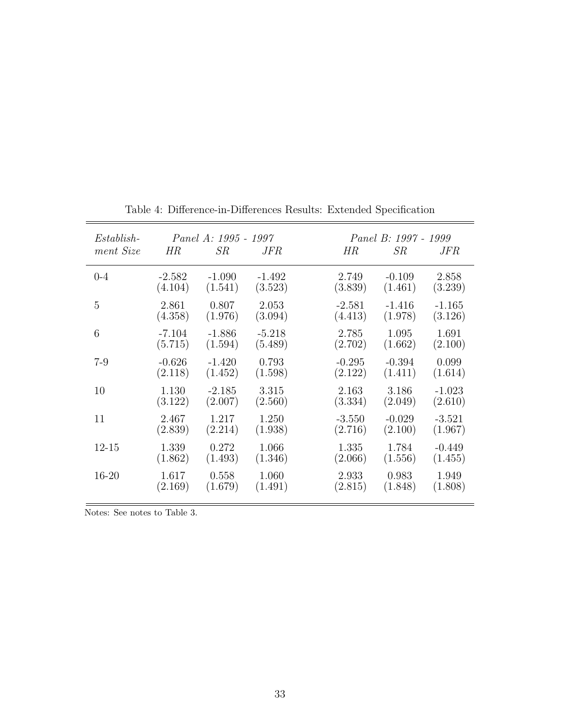| Establish- |          | Panel A: 1995 - 1997 |          | Panel B: 1997 - 1999 |          |          |  |
|------------|----------|----------------------|----------|----------------------|----------|----------|--|
| ment Size  | HR       | SR                   | JFR      | HR                   | SR       | JFR      |  |
| $0 - 4$    | $-2.582$ | $-1.090$             | $-1.492$ | 2.749                | $-0.109$ | 2.858    |  |
|            | (4.104)  | (1.541)              | (3.523)  | (3.839)              | (1.461)  | (3.239)  |  |
| 5          | 2.861    | 0.807                | 2.053    | $-2.581$             | $-1.416$ | $-1.165$ |  |
|            | (4.358)  | (1.976)              | (3.094)  | (4.413)              | (1.978)  | (3.126)  |  |
| 6          | $-7.104$ | $-1.886$             | $-5.218$ | 2.785                | 1.095    | 1.691    |  |
|            | (5.715)  | (1.594)              | (5.489)  | (2.702)              | (1.662)  | (2.100)  |  |
| $7-9$      | $-0.626$ | $-1.420$             | 0.793    | $-0.295$             | $-0.394$ | 0.099    |  |
|            | (2.118)  | (1.452)              | (1.598)  | (2.122)              | (1.411)  | (1.614)  |  |
| 10         | 1.130    | $-2.185$             | 3.315    | 2.163                | 3.186    | $-1.023$ |  |
|            | (3.122)  | (2.007)              | (2.560)  | (3.334)              | (2.049)  | (2.610)  |  |
| 11         | 2.467    | 1.217                | 1.250    | $-3.550$             | $-0.029$ | $-3.521$ |  |
|            | (2.839)  | (2.214)              | (1.938)  | (2.716)              | (2.100)  | (1.967)  |  |
| $12 - 15$  | 1.339    | 0.272                | 1.066    | 1.335                | 1.784    | $-0.449$ |  |
|            | (1.862)  | (1.493)              | (1.346)  | (2.066)              | (1.556)  | (1.455)  |  |
| $16 - 20$  | 1.617    | 0.558                | 1.060    | 2.933                | 0.983    | 1.949    |  |
|            | (2.169)  | (1.679)              | (1.491)  | (2.815)              | (1.848)  | (1.808)  |  |

Table 4: Difference-in-Differences Results: Extended Specification

Notes: See notes to Table 3.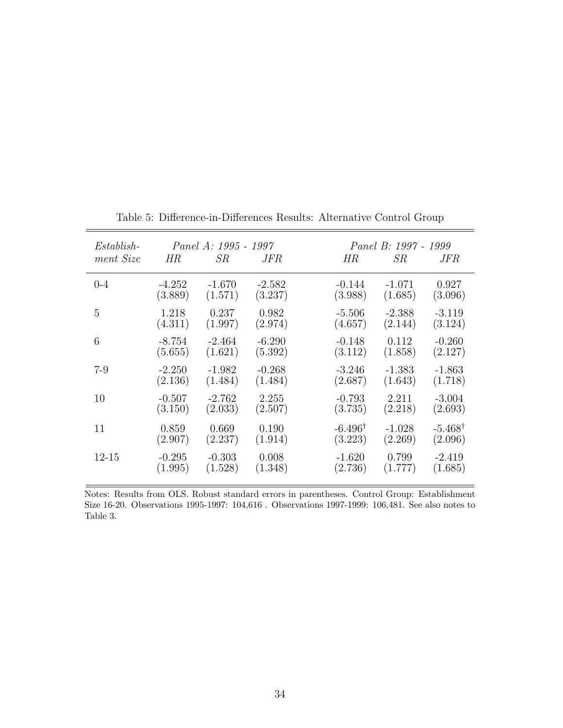| $Estabilish-$ |          | Panel A: 1995 - 1997 |            |                    | Panel B: 1997 - 1999 |                    |
|---------------|----------|----------------------|------------|--------------------|----------------------|--------------------|
| ment Size     | HR       | SR                   | <i>JFR</i> | НR                 | SR                   | <i>JFR</i>         |
| $0 - 4$       | $-4.252$ | $-1.670$             | $-2.582$   | $-0.144$           | $-1.071$             | 0.927              |
|               | (3.889)  | (1.571)              | (3.237)    | (3.988)            | (1.685)              | (3.096)            |
| 5             | 1.218    | 0.237                | 0.982      | $-5.506$           | $-2.388$             | $-3.119$           |
|               | (4.311)  | (1.997)              | (2.974)    | (4.657)            | (2.144)              | (3.124)            |
| 6             | $-8.754$ | $-2.464$             | $-6.290$   | $-0.148$           | 0.112                | $-0.260$           |
|               | (5.655)  | (1.621)              | (5.392)    | (3.112)            | (1.858)              | (2.127)            |
| $7-9$         | $-2.250$ | $-1.982$             | $-0.268$   | $-3.246$           | $-1.383$             | $-1.863$           |
|               | (2.136)  | (1.484)              | (1.484)    | (2.687)            | (1.643)              | (1.718)            |
| 10            | $-0.507$ | $-2.762$             | 2.255      | $-0.793$           | 2.211                | $-3.004$           |
|               | (3.150)  | (2.033)              | (2.507)    | (3.735)            | (2.218)              | (2.693)            |
| 11            | 0.859    | 0.669                | 0.190      | $-6.496^{\dagger}$ | $-1.028$             | $-5.468^{\dagger}$ |
|               | (2.907)  | (2.237)              | (1.914)    | (3.223)            | (2.269)              | (2.096)            |
| 12-15         | $-0.295$ | $-0.303$             | 0.008      | $-1.620$           | 0.799                | $-2.419$           |
|               | (1.995)  | (1.528)              | (1.348)    | (2.736)            | (1.777)              | (1.685)            |

Table 5: Difference-in-Differences Results: Alternative Control Group

Notes: Results from OLS. Robust standard errors in parentheses. Control Group: Establishment Size 16-20. Observations 1995-1997: 104,616 . Observations 1997-1999: 106,481. See also notes to Table 3.